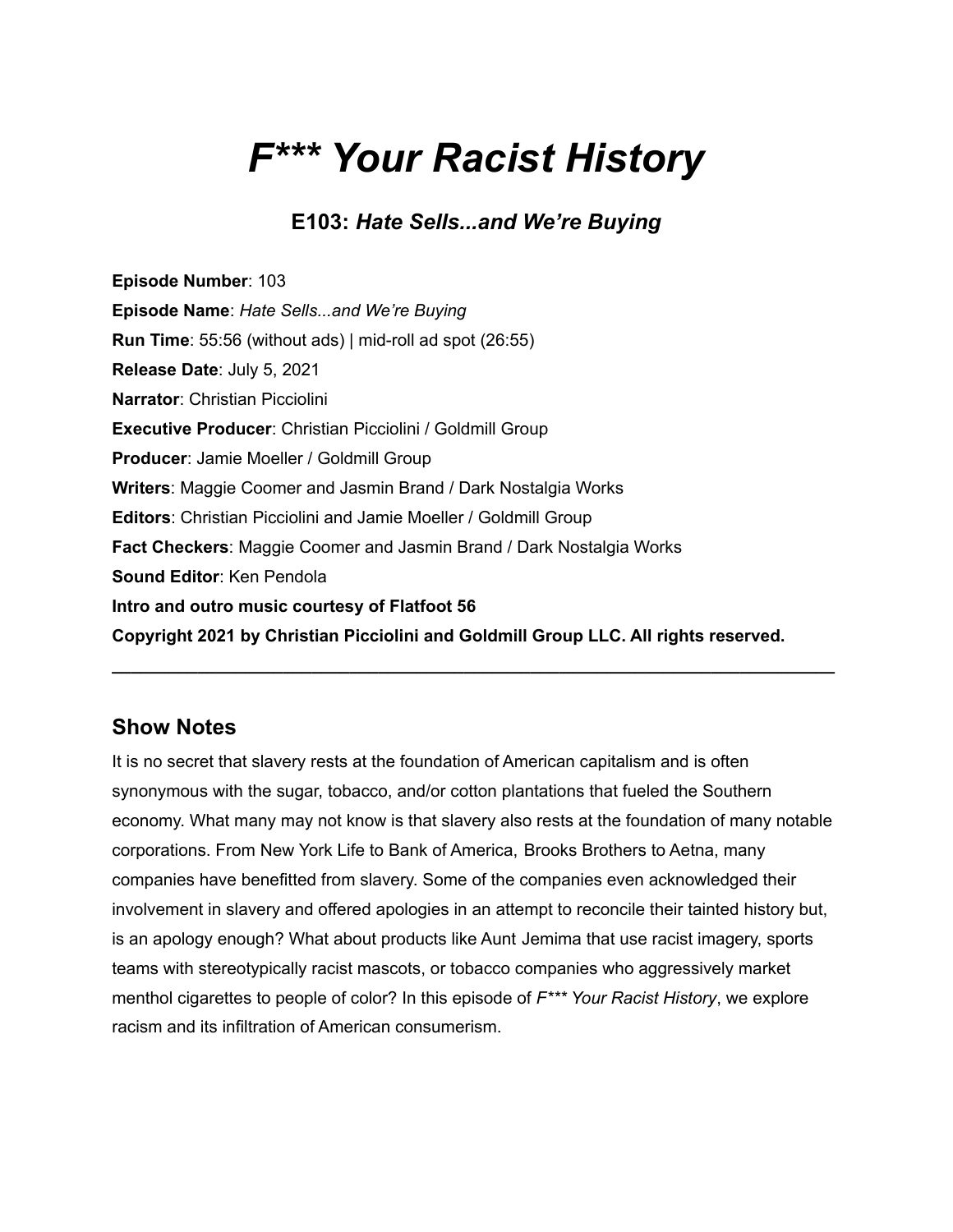# *F\*\*\* Your Racist History*

# **E103:** *Hate Sells...and We're Buying*

**Episode Number**: 103 **Episode Name**: *Hate Sells...and We're Buying* **Run Time**: 55:56 (without ads) | mid-roll ad spot (26:55) **Release Date**: July 5, 2021 **Narrator**: Christian Picciolini **Executive Producer**: Christian Picciolini / Goldmill Group **Producer**: Jamie Moeller / Goldmill Group **Writers**: Maggie Coomer and Jasmin Brand / Dark Nostalgia Works **Editors**: Christian Picciolini and Jamie Moeller / Goldmill Group **Fact Checkers**: Maggie Coomer and Jasmin Brand / Dark Nostalgia Works **Sound Editor**: Ken Pendola **Intro and outro music courtesy of Flatfoot 56 Copyright 2021 by Christian Picciolini and Goldmill Group LLC. All rights reserved.**

## **Show Notes**

It is no secret that slavery rests at the foundation of American capitalism and is often synonymous with the sugar, tobacco, and/or cotton plantations that fueled the Southern economy. What many may not know is that slavery also rests at the foundation of many notable corporations. From New York Life to Bank of America, Brooks Brothers to Aetna, many companies have benefitted from slavery. Some of the companies even acknowledged their involvement in slavery and offered apologies in an attempt to reconcile their tainted history but, is an apology enough? What about products like Aunt Jemima that use racist imagery, sports teams with stereotypically racist mascots, or tobacco companies who aggressively market menthol cigarettes to people of color? In this episode of *F\*\*\* Your Racist History*, we explore racism and its infiltration of American consumerism.

**\_\_\_\_\_\_\_\_\_\_\_\_\_\_\_\_\_\_\_\_\_\_\_\_\_\_\_\_\_\_\_\_\_\_\_\_\_\_\_\_\_\_\_\_\_\_\_\_\_\_\_\_\_\_\_\_\_\_\_\_\_\_\_\_\_\_\_\_\_\_\_\_\_\_\_\_**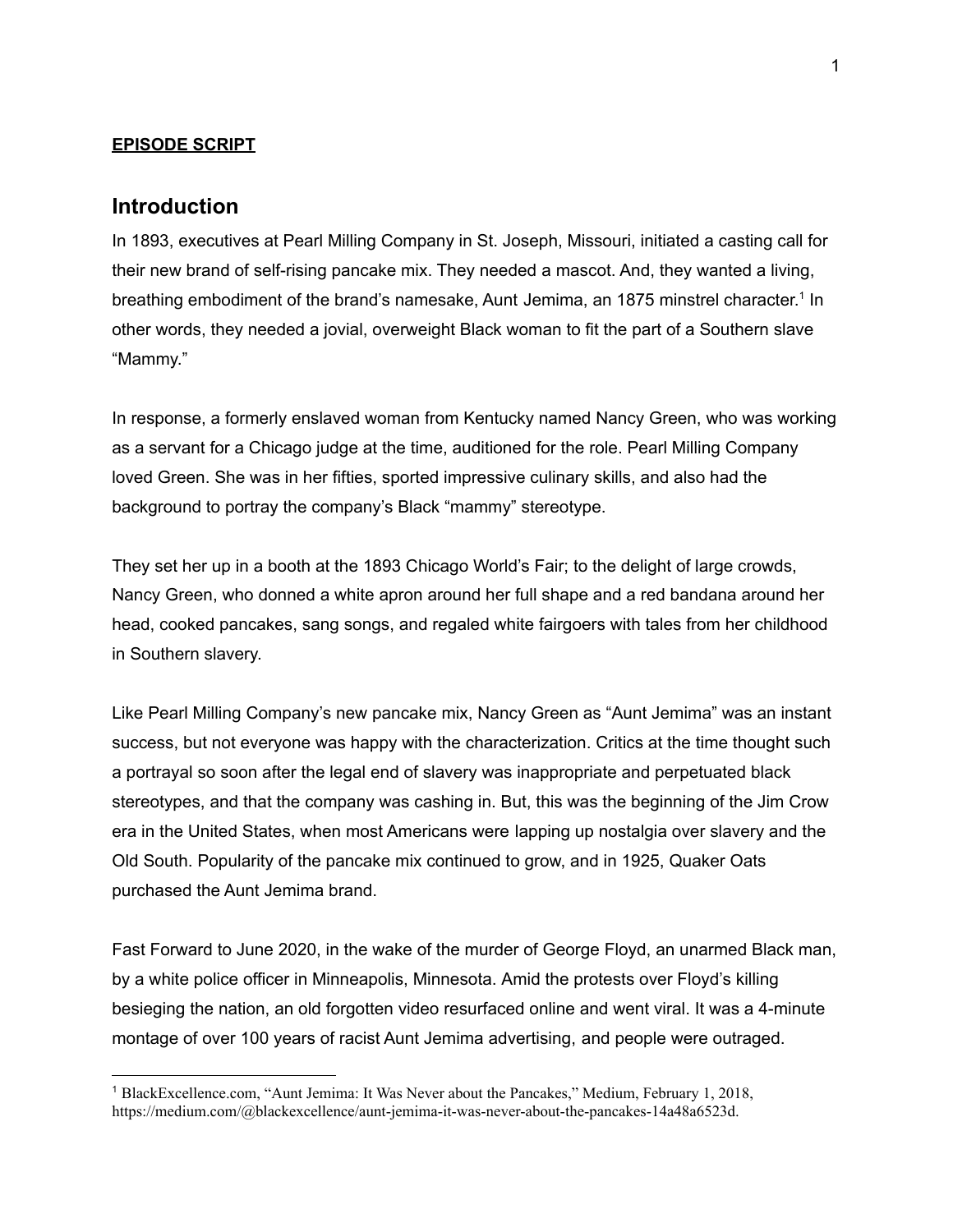#### **EPISODE SCRIPT**

#### **Introduction**

In 1893, executives at Pearl Milling Company in St. Joseph, Missouri, initiated a casting call for their new brand of self-rising pancake mix. They needed a mascot. And, they wanted a living, breathing embodiment of the brand's namesake, Aunt Jemima, an 1875 minstrel character.<sup>1</sup> In other words, they needed a jovial, overweight Black woman to fit the part of a Southern slave "Mammy."

In response, a formerly enslaved woman from Kentucky named Nancy Green, who was working as a servant for a Chicago judge at the time, auditioned for the role. Pearl Milling Company loved Green. She was in her fifties, sported impressive culinary skills, and also had the background to portray the company's Black "mammy" stereotype.

They set her up in a booth at the 1893 Chicago World's Fair; to the delight of large crowds, Nancy Green, who donned a white apron around her full shape and a red bandana around her head, cooked pancakes, sang songs, and regaled white fairgoers with tales from her childhood in Southern slavery.

Like Pearl Milling Company's new pancake mix, Nancy Green as "Aunt Jemima" was an instant success, but not everyone was happy with the characterization. Critics at the time thought such a portrayal so soon after the legal end of slavery was inappropriate and perpetuated black stereotypes, and that the company was cashing in. But, this was the beginning of the Jim Crow era in the United States, when most Americans were lapping up nostalgia over slavery and the Old South. Popularity of the pancake mix continued to grow, and in 1925, Quaker Oats purchased the Aunt Jemima brand.

Fast Forward to June 2020, in the wake of the murder of George Floyd, an unarmed Black man, by a white police officer in Minneapolis, Minnesota. Amid the protests over Floyd's killing besieging the nation, an old forgotten video resurfaced online and went viral. It was a 4-minute montage of over 100 years of racist Aunt Jemima advertising, and people were outraged.

<sup>1</sup> BlackExcellence.com, "Aunt Jemima: It Was Never about the Pancakes," Medium, February 1, 2018, [https://medium.com/@blackexcellence/aunt-jemima-it-was-never-about-the-pancakes-14a48a6523d.](https://medium.com/@blackexcellence/aunt-jemima-it-was-never-about-the-pancakes-14a48a6523d)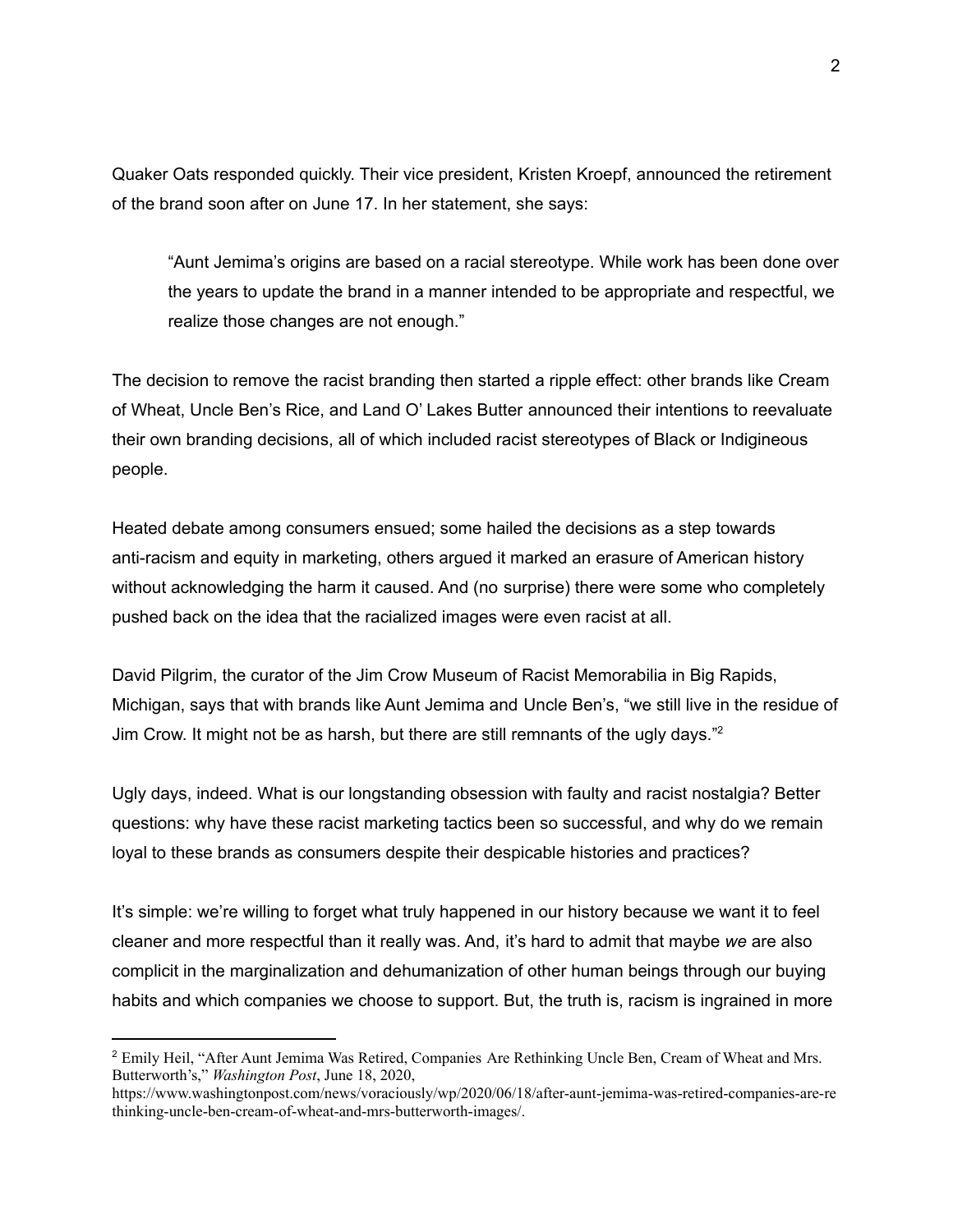Quaker Oats responded quickly. Their vice president, Kristen Kroepf, announced the retirement of the brand soon after on June 17. In her statement, she says:

"Aunt Jemima's origins are based on a racial stereotype. While work has been done over the years to update the brand in a manner intended to be appropriate and respectful, we realize those changes are not enough."

The decision to remove the racist branding then started a ripple effect: other brands like Cream of Wheat, Uncle Ben's Rice, and Land O' Lakes Butter announced their intentions to reevaluate their own branding decisions, all of which included racist stereotypes of Black or Indigineous people.

Heated debate among consumers ensued; some hailed the decisions as a step towards anti-racism and equity in marketing, others argued it marked an erasure of American history without acknowledging the harm it caused. And (no surprise) there were some who completely pushed back on the idea that the racialized images were even racist at all.

David Pilgrim, the curator of the Jim Crow Museum of Racist Memorabilia in Big Rapids, Michigan, says that with brands like Aunt Jemima and Uncle Ben's, "we still live in the residue of Jim Crow. It might not be as harsh, but there are still remnants of the ugly days."<sup>2</sup>

Ugly days, indeed. What is our longstanding obsession with faulty and racist nostalgia? Better questions: why have these racist marketing tactics been so successful, and why do we remain loyal to these brands as consumers despite their despicable histories and practices?

It's simple: we're willing to forget what truly happened in our history because we want it to feel cleaner and more respectful than it really was. And, it's hard to admit that maybe *we* are also complicit in the marginalization and dehumanization of other human beings through our buying habits and which companies we choose to support. But, the truth is, racism is ingrained in more

<sup>&</sup>lt;sup>2</sup> Emily Heil, "After Aunt Jemima Was Retired, Companies Are Rethinking Uncle Ben, Cream of Wheat and Mrs. Butterworth's," *Washington Post*, June 18, 2020,

[https://www.washingtonpost.com/news/voraciously/wp/2020/06/18/after-aunt-jemima-was-retired-companies-are-re](https://www.washingtonpost.com/news/voraciously/wp/2020/06/18/after-aunt-jemima-was-retired-companies-are-rethinking-uncle-ben-cream-of-wheat-and-mrs-butterworth-images/) [thinking-uncle-ben-cream-of-wheat-and-mrs-butterworth-images/](https://www.washingtonpost.com/news/voraciously/wp/2020/06/18/after-aunt-jemima-was-retired-companies-are-rethinking-uncle-ben-cream-of-wheat-and-mrs-butterworth-images/).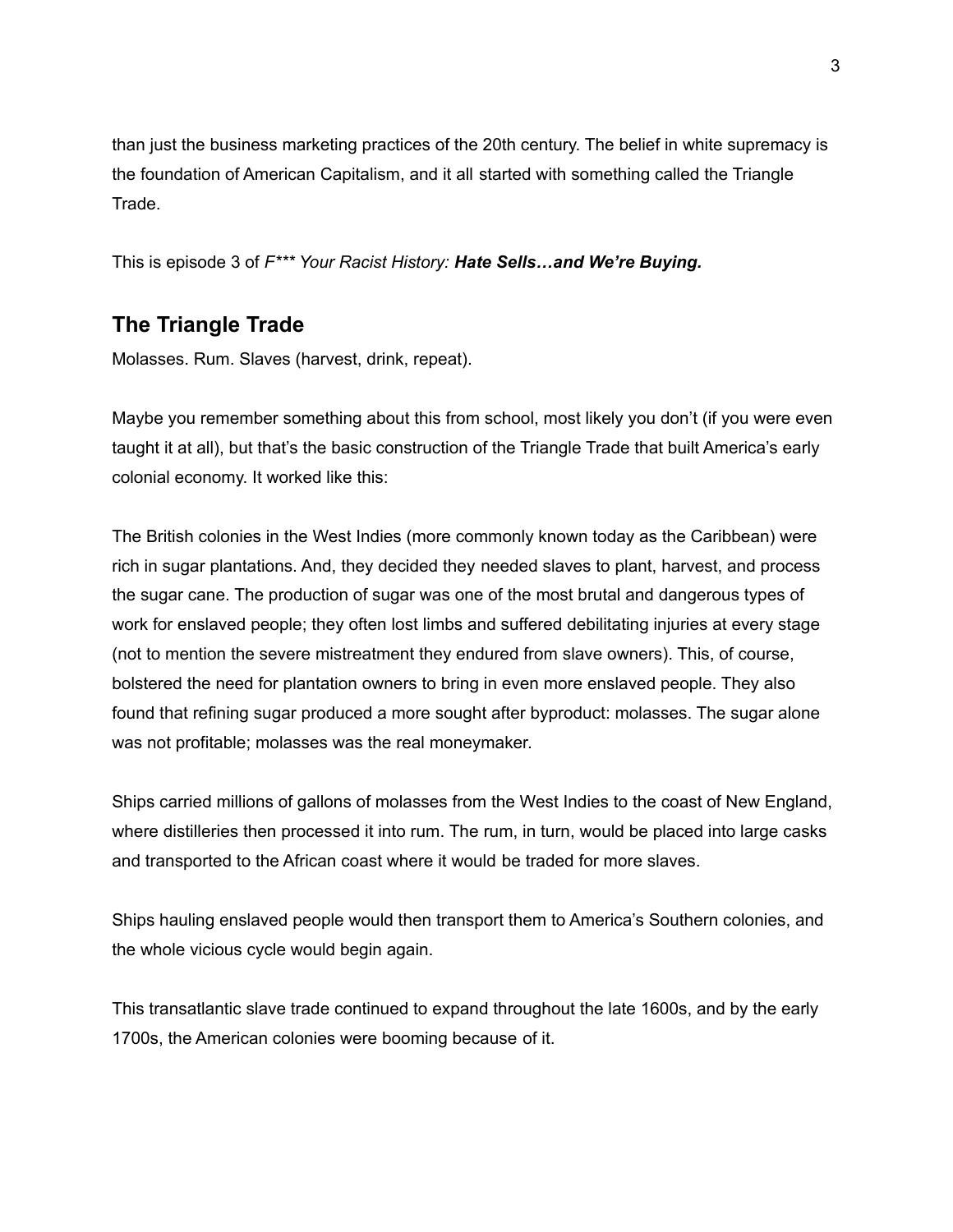than just the business marketing practices of the 20th century. The belief in white supremacy is the foundation of American Capitalism, and it all started with something called the Triangle Trade.

This is episode 3 of *F\*\*\* Your Racist History: Hate Sells…and We're Buying.*

# **The Triangle Trade**

Molasses. Rum. Slaves (harvest, drink, repeat).

Maybe you remember something about this from school, most likely you don't (if you were even taught it at all), but that's the basic construction of the Triangle Trade that built America's early colonial economy. It worked like this:

The British colonies in the West Indies (more commonly known today as the Caribbean) were rich in sugar plantations. And, they decided they needed slaves to plant, harvest, and process the sugar cane. The production of sugar was one of the most brutal and dangerous types of work for enslaved people; they often lost limbs and suffered debilitating injuries at every stage (not to mention the severe mistreatment they endured from slave owners). This, of course, bolstered the need for plantation owners to bring in even more enslaved people. They also found that refining sugar produced a more sought after byproduct: molasses. The sugar alone was not profitable; molasses was the real moneymaker.

Ships carried millions of gallons of molasses from the West Indies to the coast of New England, where distilleries then processed it into rum. The rum, in turn, would be placed into large casks and transported to the African coast where it would be traded for more slaves.

Ships hauling enslaved people would then transport them to America's Southern colonies, and the whole vicious cycle would begin again.

This transatlantic slave trade continued to expand throughout the late 1600s, and by the early 1700s, the American colonies were booming because of it.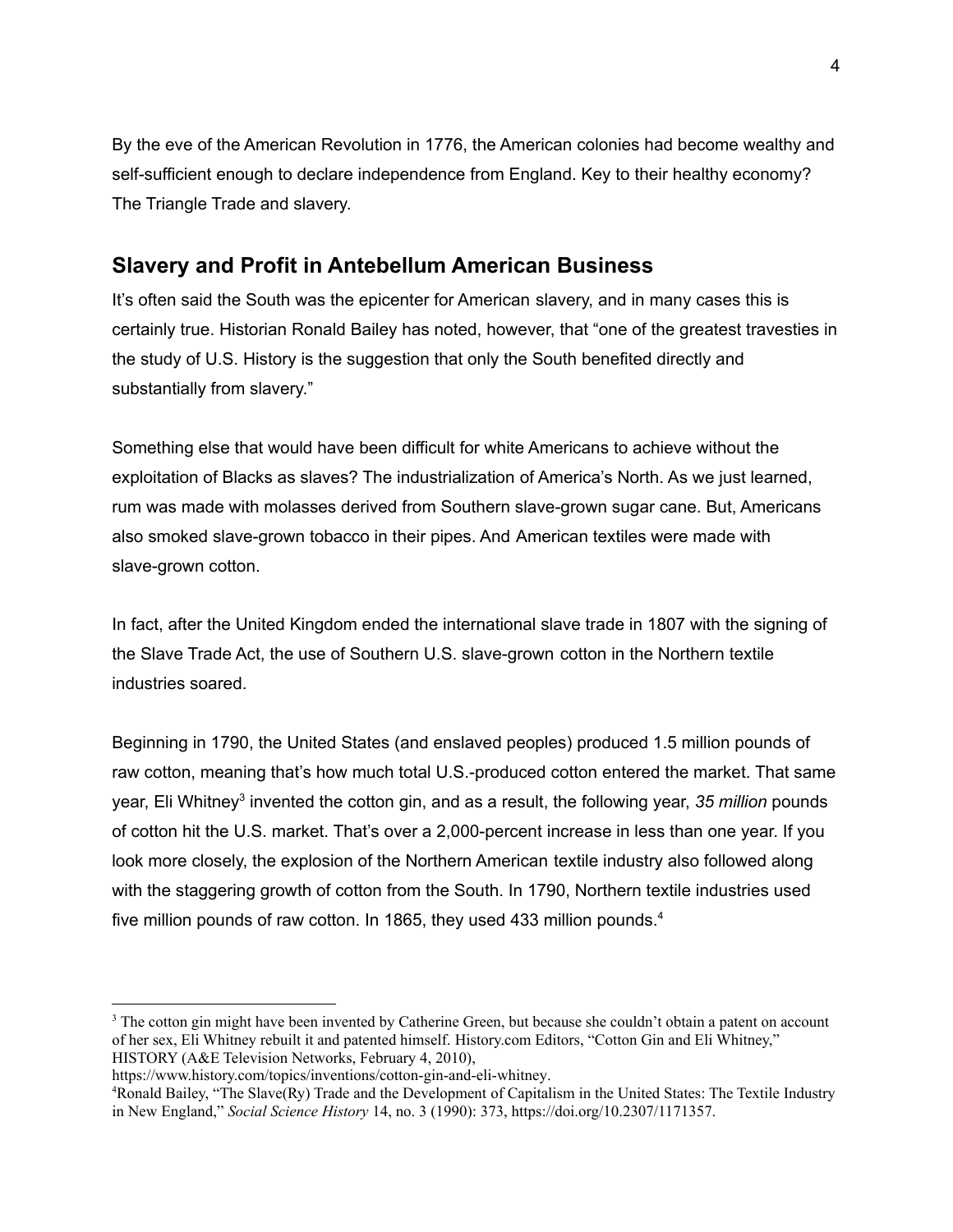By the eve of the American Revolution in 1776, the American colonies had become wealthy and self-sufficient enough to declare independence from England. Key to their healthy economy? The Triangle Trade and slavery.

# **Slavery and Profit in Antebellum American Business**

It's often said the South was the epicenter for American slavery, and in many cases this is certainly true. Historian Ronald Bailey has noted, however, that "one of the greatest travesties in the study of U.S. History is the suggestion that only the South benefited directly and substantially from slavery."

Something else that would have been difficult for white Americans to achieve without the exploitation of Blacks as slaves? The industrialization of America's North. As we just learned, rum was made with molasses derived from Southern slave-grown sugar cane. But, Americans also smoked slave-grown tobacco in their pipes. And American textiles were made with slave-grown cotton.

In fact, after the United Kingdom ended the international slave trade in 1807 with the signing of the Slave Trade Act, the use of Southern U.S. slave-grown cotton in the Northern textile industries soared.

Beginning in 1790, the United States (and enslaved peoples) produced 1.5 million pounds of raw cotton, meaning that's how much total U.S.-produced cotton entered the market. That same year, Eli Whitney<sup>3</sup> invented the cotton gin, and as a result, the following year, 35 *million* pounds of cotton hit the U.S. market. That's over a 2,000-percent increase in less than one year. If you look more closely, the explosion of the Northern American textile industry also followed along with the staggering growth of cotton from the South. In 1790, Northern textile industries used five million pounds of raw cotton. In 1865, they used 433 million pounds.<sup>4</sup>

<sup>&</sup>lt;sup>3</sup> The cotton gin might have been invented by Catherine Green, but because she couldn't obtain a patent on account of her sex, Eli Whitney rebuilt it and patented himself. History.com Editors, "Cotton Gin and Eli Whitney," HISTORY (A&E Television Networks, February 4, 2010),

[https://www.history.com/topics/inventions/cotton-gin-and-eli-whitney.](https://www.history.com/topics/inventions/cotton-gin-and-eli-whitney)

<sup>4</sup>Ronald Bailey, "The Slave(Ry) Trade and the Development of Capitalism in the United States: The Textile Industry in New England," *Social Science History* 14, no. 3 (1990): 373, https://doi.org/[10.2307/1171357.](https://www.mybib.com/10.2307/1171357)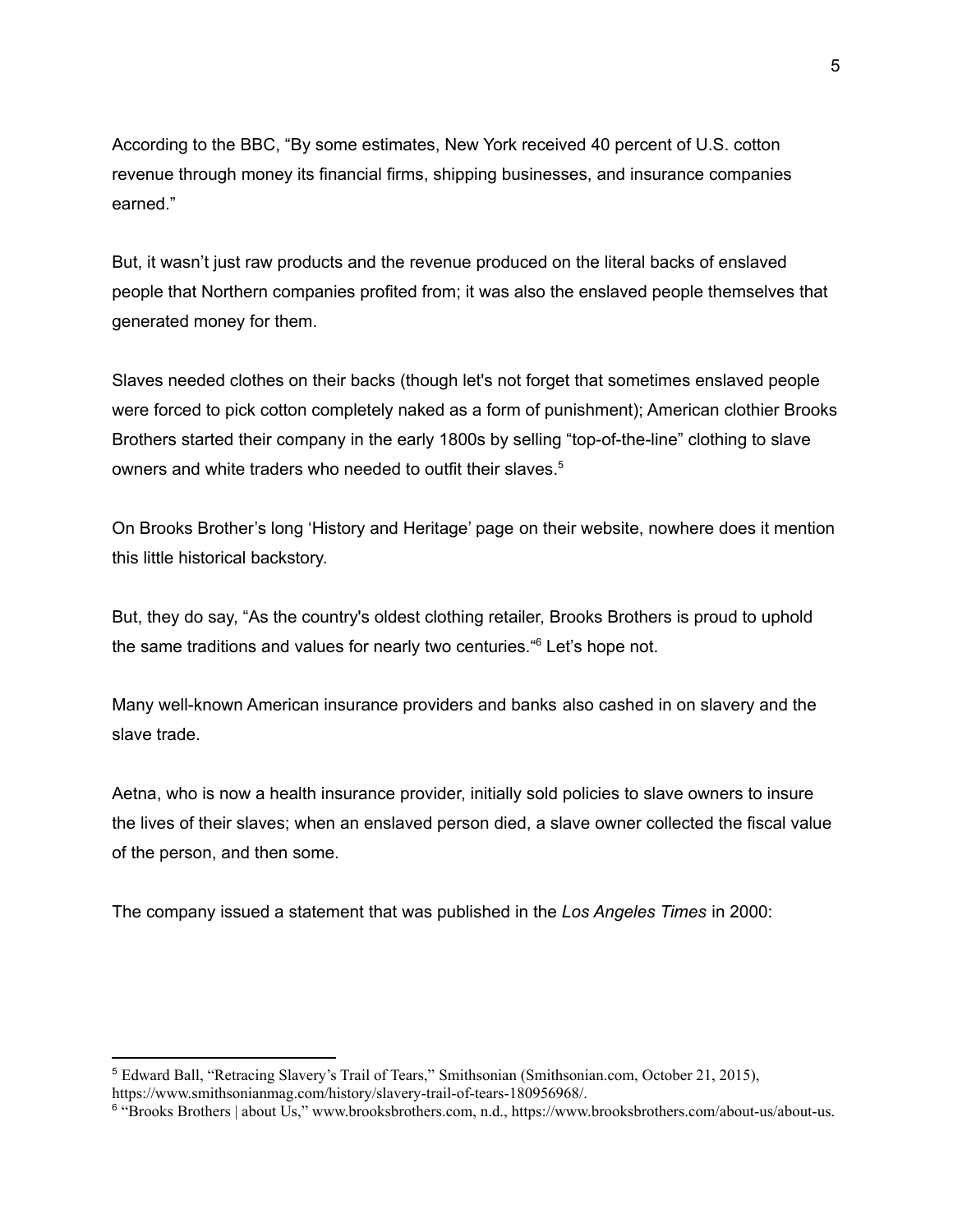According to the BBC, "By some estimates, New York received 40 percent of U.S. cotton revenue through money its financial firms, shipping businesses, and insurance companies earned."

But, it wasn't just raw products and the revenue produced on the literal backs of enslaved people that Northern companies profited from; it was also the enslaved people themselves that generated money for them.

Slaves needed clothes on their backs (though let's not forget that sometimes enslaved people were forced to pick cotton completely naked as a form of punishment); American clothier Brooks Brothers started their company in the early 1800s by selling "top-of-the-line" clothing to slave owners and white traders who needed to outfit their slaves. 5

On Brooks Brother's long 'History and Heritage' page on their website, nowhere does it mention this little historical backstory.

But, they do say, "As the country's oldest clothing retailer, Brooks Brothers is proud to uphold the same traditions and values for nearly two centuries." <sup>6</sup> Let's hope not.

Many well-known American insurance providers and banks also cashed in on slavery and the slave trade.

Aetna, who is now a health insurance provider, initially sold policies to slave owners to insure the lives of their slaves; when an enslaved person died, a slave owner collected the fiscal value of the person, and then some.

The company issued a statement that was published in the *Los Angeles Times* in 2000:

<sup>5</sup> Edward Ball, "Retracing Slavery's Trail of Tears," Smithsonian (Smithsonian.com, October 21, 2015), <https://www.smithsonianmag.com/history/slavery-trail-of-tears-180956968/>.

<sup>6</sup> "Brooks Brothers | about Us," www.brooksbrothers.com, n.d., <https://www.brooksbrothers.com/about-us/about-us>.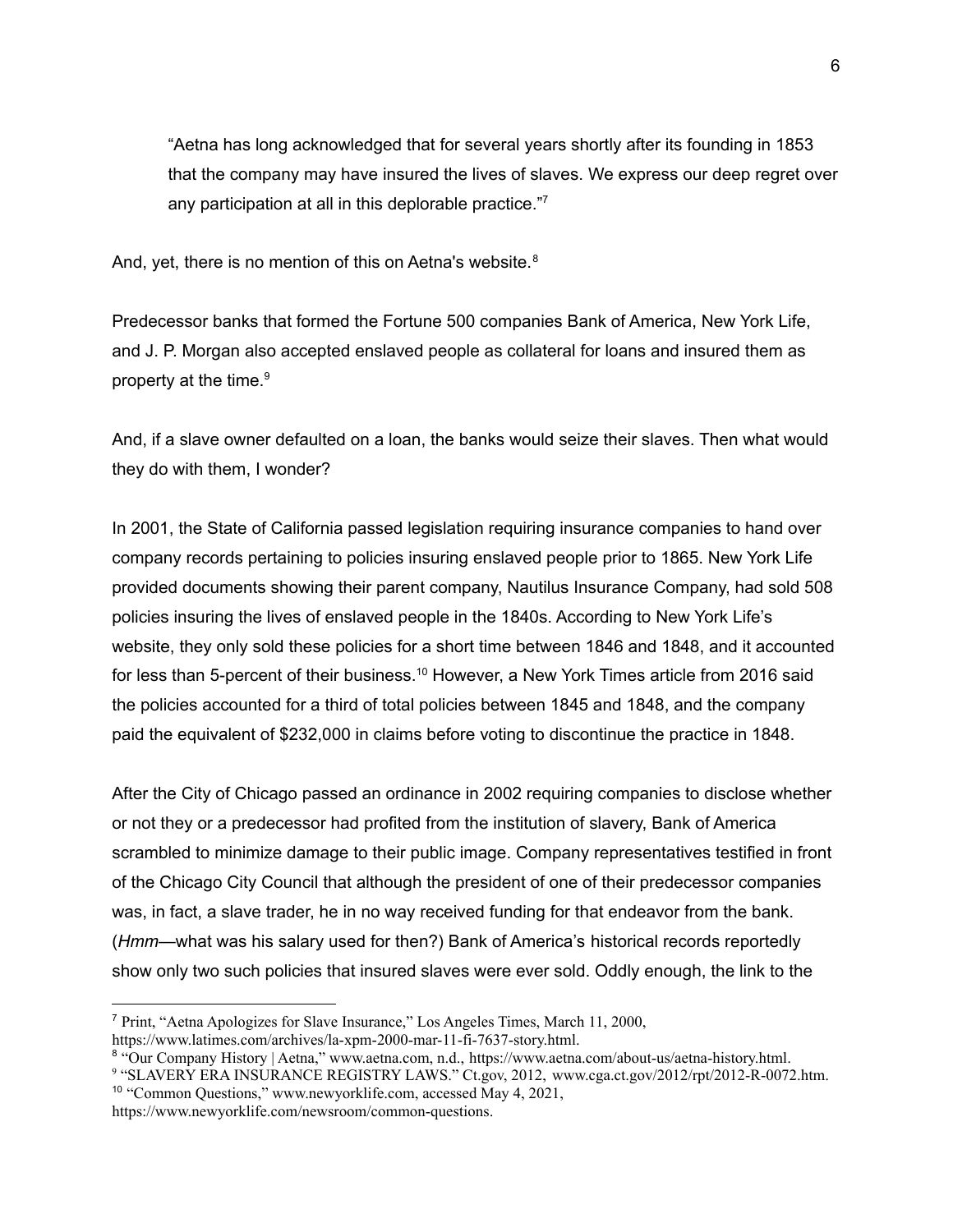"Aetna has long acknowledged that for several years shortly after its founding in 1853 that the company may have insured the lives of slaves. We express our deep regret over any participation at all in this deplorable practice."7

And, yet, there is no mention of this on Aetna's website.<sup>8</sup>

Predecessor banks that formed the Fortune 500 companies Bank of America, New York Life, and J. P. Morgan also accepted enslaved people as collateral for loans and insured them as property at the time. 9

And, if a slave owner defaulted on a loan, the banks would seize their slaves. Then what would they do with them, I wonder?

In 2001, the State of California passed legislation requiring insurance companies to hand over company records pertaining to policies insuring enslaved people prior to 1865. New York Life provided documents showing their parent company, Nautilus Insurance Company, had sold 508 policies insuring the lives of enslaved people in the 1840s. According to New York Life's website, they only sold these policies for a short time between 1846 and 1848, and it accounted for less than 5-percent of their business.<sup>10</sup> However, a New York Times article from 2016 said the policies accounted for a third of total policies between 1845 and 1848, and the company paid the equivalent of \$232,000 in claims before voting to discontinue the practice in 1848.

After the City of Chicago passed an ordinance in 2002 requiring companies to disclose whether or not they or a predecessor had profited from the institution of slavery, Bank of America scrambled to minimize damage to their public image. Company representatives testified in front of the Chicago City Council that although the president of one of their predecessor companies was, in fact, a slave trader, he in no way received funding for that endeavor from the bank. (*Hmm*—what was his salary used for then?) Bank of America's historical records reportedly show only two such policies that insured slaves were ever sold. Oddly enough, the link to the

<sup>10</sup> "Common Questions," www.newyorklife.com, accessed May 4, 2021, [https://www.newyorklife.com/newsroom/common-questions.](https://www.newyorklife.com/newsroom/common-questions) <sup>9</sup> "SLAVERY ERA INSURANCE REGISTRY LAWS." Ct.gov, 2012, [www.cga.ct.gov/2012/rpt/2012-R-0072.htm](http://www.cga.ct.gov/2012/rpt/2012-R-0072.htm).

<sup>7</sup> Print, "Aetna Apologizes for Slave Insurance," Los Angeles Times, March 11, 2000, <https://www.latimes.com/archives/la-xpm-2000-mar-11-fi-7637-story.html>.

<sup>8</sup> "Our Company History | Aetna," www.aetna.com, n.d., [https://www.aetna.com/about-us/aetna-history.html.](https://www.aetna.com/about-us/aetna-history.html)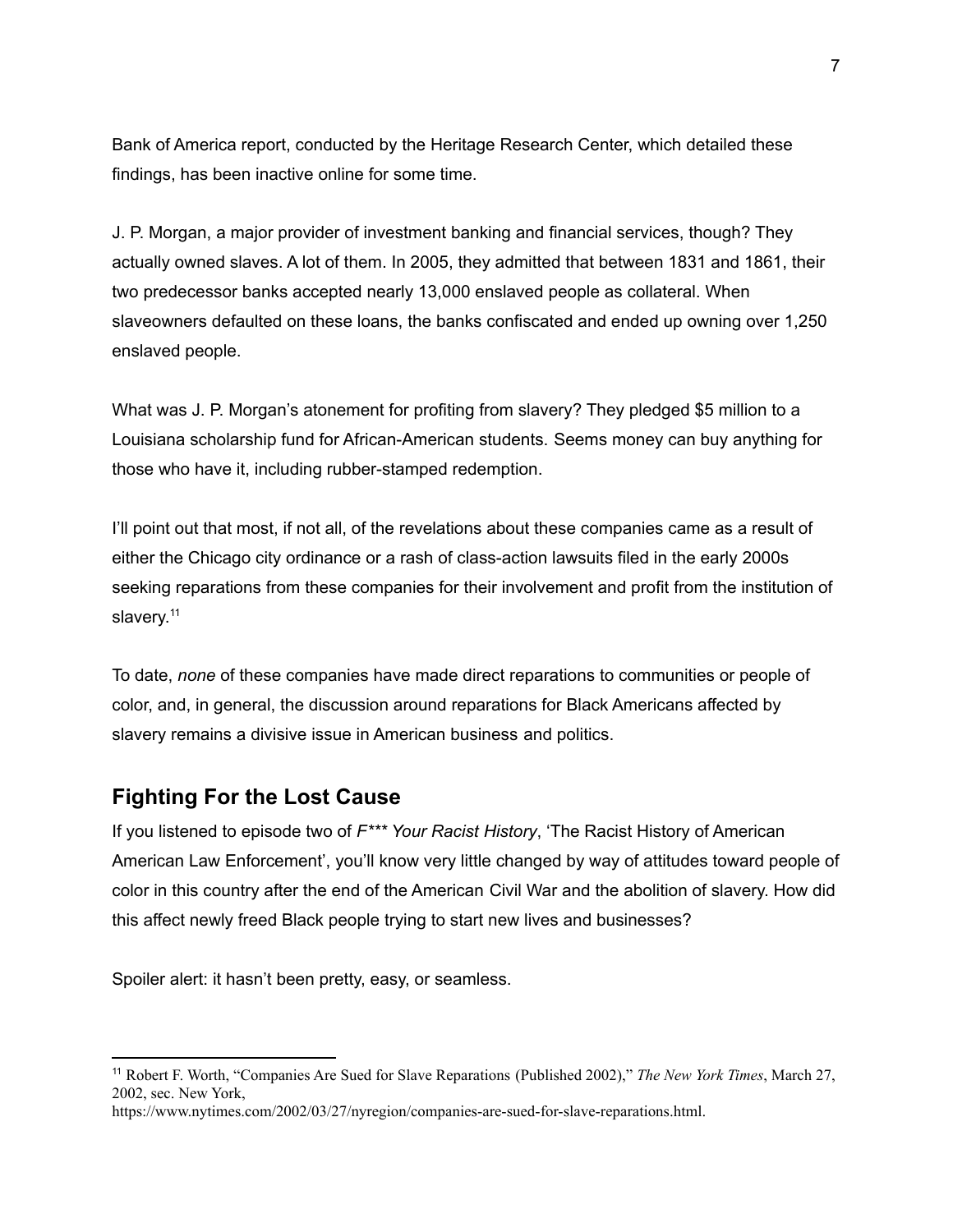Bank of America report, conducted by the Heritage Research Center, which detailed these findings, has been inactive online for some time.

J. P. Morgan, a major provider of investment banking and financial services, though? They actually owned slaves. A lot of them. In 2005, they admitted that between 1831 and 1861, their two predecessor banks accepted nearly 13,000 enslaved people as collateral. When slaveowners defaulted on these loans, the banks confiscated and ended up owning over 1,250 enslaved people.

What was J. P. Morgan's atonement for profiting from slavery? They pledged \$5 million to a Louisiana scholarship fund for African-American students. Seems money can buy anything for those who have it, including rubber-stamped redemption.

I'll point out that most, if not all, of the revelations about these companies came as a result of either the Chicago city ordinance or a rash of class-action lawsuits filed in the early 2000s seeking reparations from these companies for their involvement and profit from the institution of slavery.<sup>11</sup>

To date, *none* of these companies have made direct reparations to communities or people of color, and, in general, the discussion around reparations for Black Americans affected by slavery remains a divisive issue in American business and politics.

#### **Fighting For the Lost Cause**

If you listened to episode two of *F\*\*\* Your Racist History*, 'The Racist History of American American Law Enforcement', you'll know very little changed by way of attitudes toward people of color in this country after the end of the American Civil War and the abolition of slavery. How did this affect newly freed Black people trying to start new lives and businesses?

Spoiler alert: it hasn't been pretty, easy, or seamless.

<sup>11</sup> Robert F. Worth, "Companies Are Sued for Slave Reparations (Published 2002)," *The New York Times*, March 27, 2002, sec. New York,

<https://www.nytimes.com/2002/03/27/nyregion/companies-are-sued-for-slave-reparations.html>.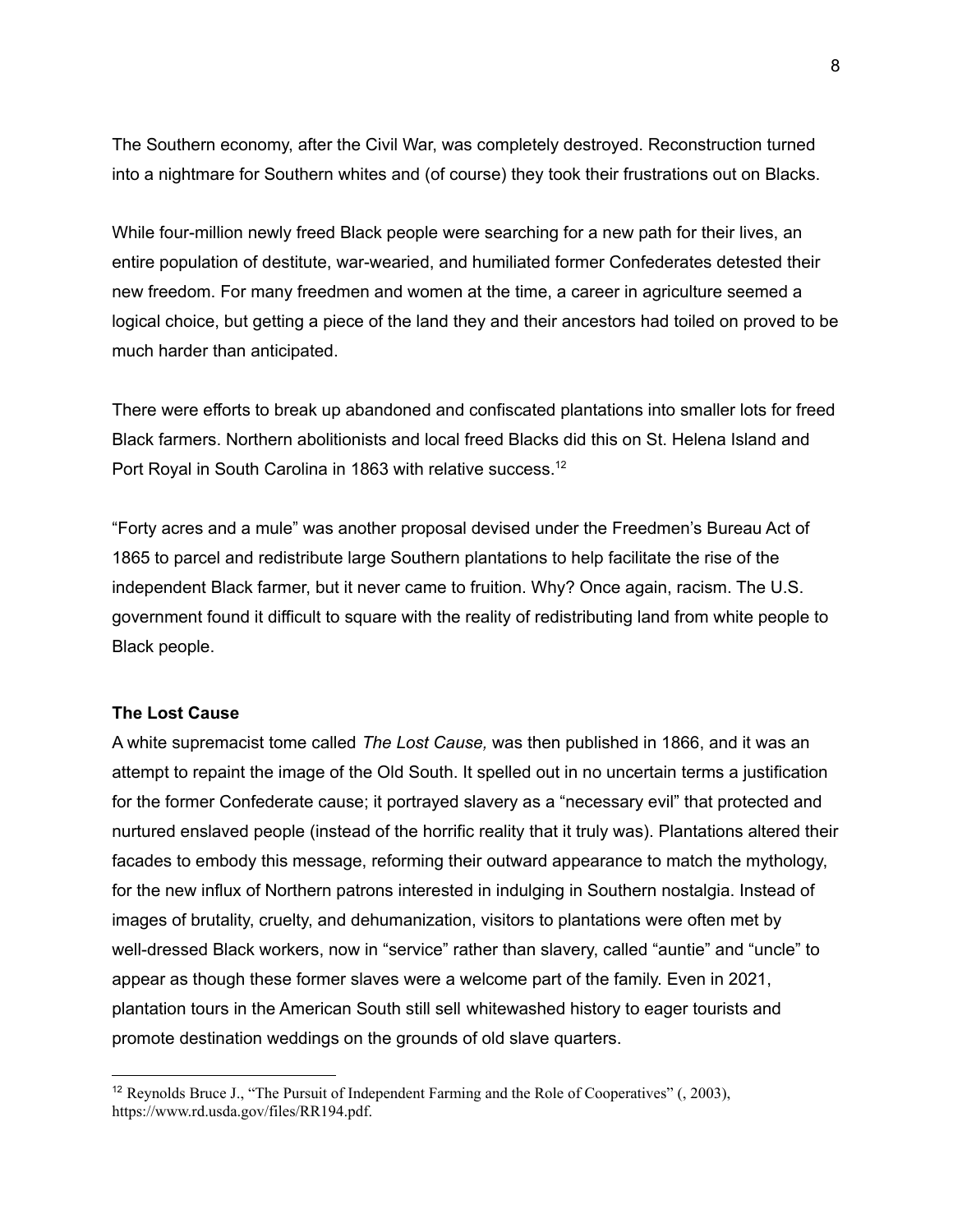The Southern economy, after the Civil War, was completely destroyed. Reconstruction turned into a nightmare for Southern whites and (of course) they took their frustrations out on Blacks.

While four-million newly freed Black people were searching for a new path for their lives, an entire population of destitute, war-wearied, and humiliated former Confederates detested their new freedom. For many freedmen and women at the time, a career in agriculture seemed a logical choice, but getting a piece of the land they and their ancestors had toiled on proved to be much harder than anticipated.

There were efforts to break up abandoned and confiscated plantations into smaller lots for freed Black farmers. Northern abolitionists and local freed Blacks did this on St. Helena Island and Port Royal in South Carolina in 1863 with relative success. 12

"Forty acres and a mule" was another proposal devised under the Freedmen's Bureau Act of 1865 to parcel and redistribute large Southern plantations to help facilitate the rise of the independent Black farmer, but it never came to fruition. Why? Once again, racism. The U.S. government found it difficult to square with the reality of redistributing land from white people to Black people.

#### **The Lost Cause**

A white supremacist tome called *The Lost Cause,* was then published in 1866, and it was an attempt to repaint the image of the Old South. It spelled out in no uncertain terms a justification for the former Confederate cause; it portrayed slavery as a "necessary evil" that protected and nurtured enslaved people (instead of the horrific reality that it truly was). Plantations altered their facades to embody this message, reforming their outward appearance to match the mythology, for the new influx of Northern patrons interested in indulging in Southern nostalgia. Instead of images of brutality, cruelty, and dehumanization, visitors to plantations were often met by well-dressed Black workers, now in "service" rather than slavery, called "auntie" and "uncle" to appear as though these former slaves were a welcome part of the family. Even in 2021, plantation tours in the American South still sell whitewashed history to eager tourists and promote destination weddings on the grounds of old slave quarters.

<sup>&</sup>lt;sup>12</sup> Reynolds Bruce J., "The Pursuit of Independent Farming and the Role of Cooperatives"  $(0, 2003)$ , [https://www.rd.usda.gov/files/RR194.pdf.](https://www.rd.usda.gov/files/RR194.pdf)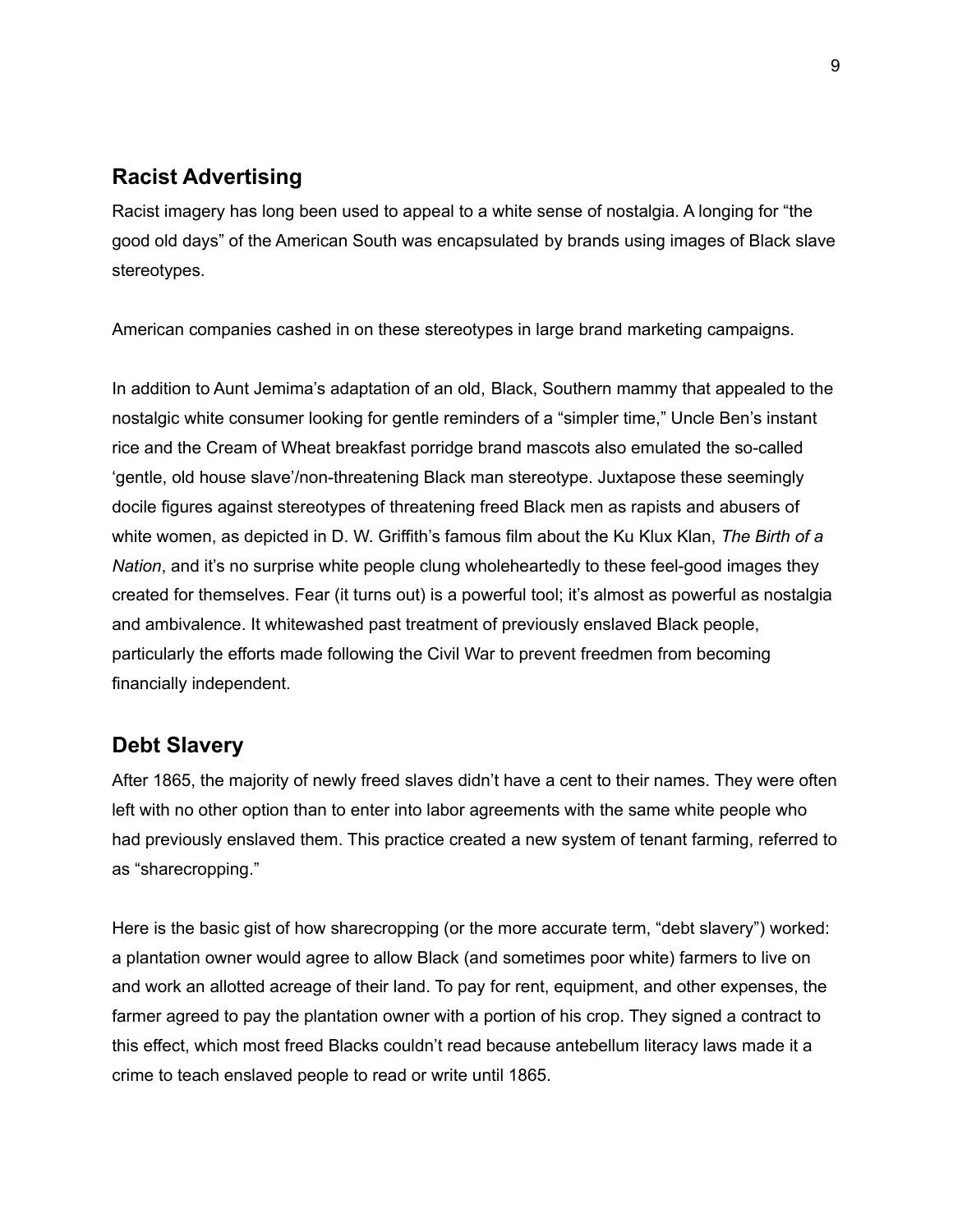# **Racist Advertising**

Racist imagery has long been used to appeal to a white sense of nostalgia. A longing for "the good old days" of the American South was encapsulated by brands using images of Black slave stereotypes.

American companies cashed in on these stereotypes in large brand marketing campaigns.

In addition to Aunt Jemima's adaptation of an old, Black, Southern mammy that appealed to the nostalgic white consumer looking for gentle reminders of a "simpler time," Uncle Ben's instant rice and the Cream of Wheat breakfast porridge brand mascots also emulated the so-called 'gentle, old house slave'/non-threatening Black man stereotype. Juxtapose these seemingly docile figures against stereotypes of threatening freed Black men as rapists and abusers of white women, as depicted in D. W. Griffith's famous film about the Ku Klux Klan, *The Birth of a Nation*, and it's no surprise white people clung wholeheartedly to these feel-good images they created for themselves. Fear (it turns out) is a powerful tool; it's almost as powerful as nostalgia and ambivalence. It whitewashed past treatment of previously enslaved Black people, particularly the efforts made following the Civil War to prevent freedmen from becoming financially independent.

## **Debt Slavery**

After 1865, the majority of newly freed slaves didn't have a cent to their names. They were often left with no other option than to enter into labor agreements with the same white people who had previously enslaved them. This practice created a new system of tenant farming, referred to as "sharecropping."

Here is the basic gist of how sharecropping (or the more accurate term, "debt slavery") worked: a plantation owner would agree to allow Black (and sometimes poor white) farmers to live on and work an allotted acreage of their land. To pay for rent, equipment, and other expenses, the farmer agreed to pay the plantation owner with a portion of his crop. They signed a contract to this effect, which most freed Blacks couldn't read because antebellum literacy laws made it a crime to teach enslaved people to read or write until 1865.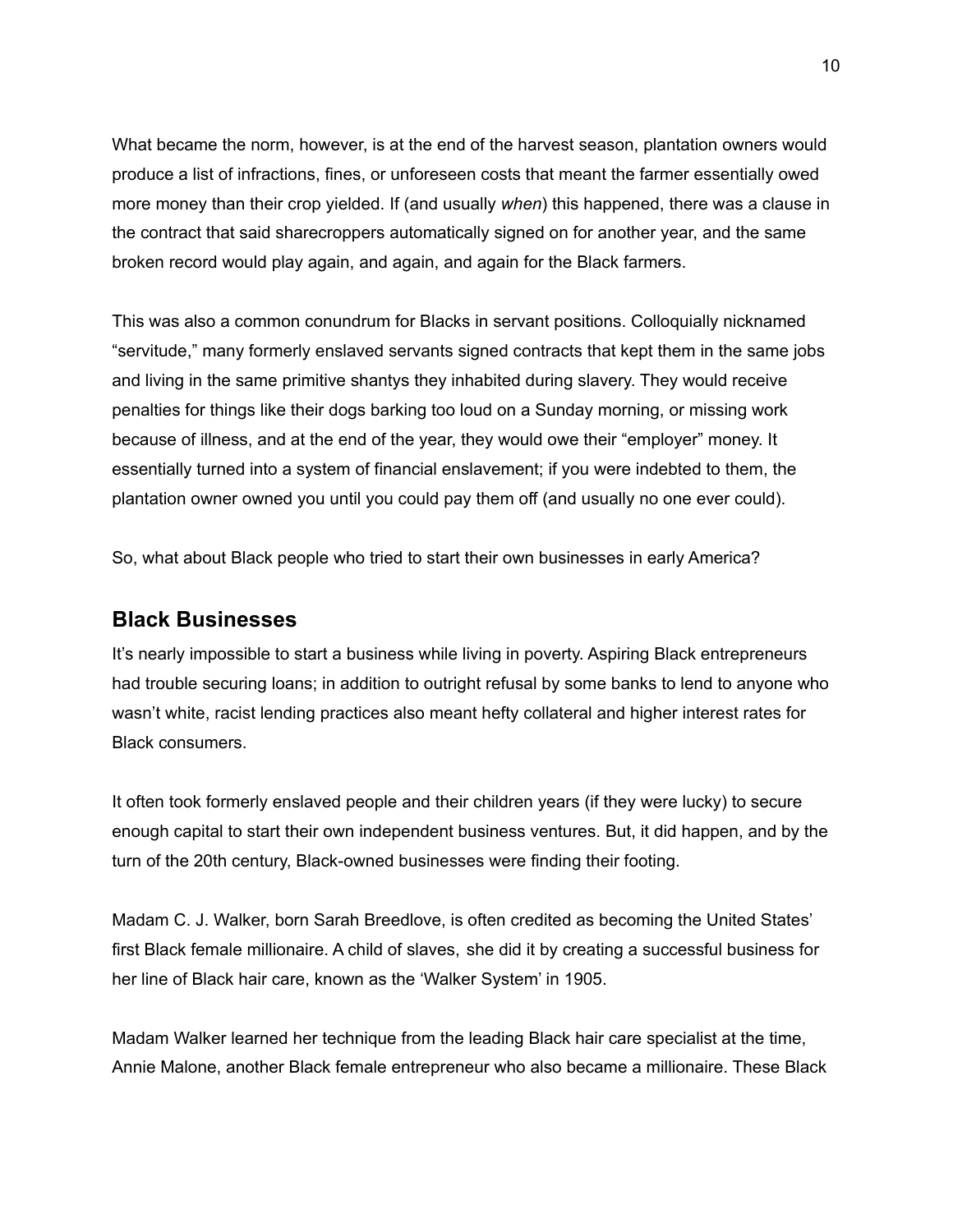What became the norm, however, is at the end of the harvest season, plantation owners would produce a list of infractions, fines, or unforeseen costs that meant the farmer essentially owed more money than their crop yielded. If (and usually *when*) this happened, there was a clause in the contract that said sharecroppers automatically signed on for another year, and the same broken record would play again, and again, and again for the Black farmers.

This was also a common conundrum for Blacks in servant positions. Colloquially nicknamed "servitude," many formerly enslaved servants signed contracts that kept them in the same jobs and living in the same primitive shantys they inhabited during slavery. They would receive penalties for things like their dogs barking too loud on a Sunday morning, or missing work because of illness, and at the end of the year, they would owe their "employer" money. It essentially turned into a system of financial enslavement; if you were indebted to them, the plantation owner owned you until you could pay them off (and usually no one ever could).

So, what about Black people who tried to start their own businesses in early America?

#### **Black Businesses**

It's nearly impossible to start a business while living in poverty. Aspiring Black entrepreneurs had trouble securing loans; in addition to outright refusal by some banks to lend to anyone who wasn't white, racist lending practices also meant hefty collateral and higher interest rates for Black consumers.

It often took formerly enslaved people and their children years (if they were lucky) to secure enough capital to start their own independent business ventures. But, it did happen, and by the turn of the 20th century, Black-owned businesses were finding their footing.

Madam C. J. Walker, born Sarah Breedlove, is often credited as becoming the United States' first Black female millionaire. A child of slaves, she did it by creating a successful business for her line of Black hair care, known as the 'Walker System' in 1905.

Madam Walker learned her technique from the leading Black hair care specialist at the time, Annie Malone, another Black female entrepreneur who also became a millionaire. These Black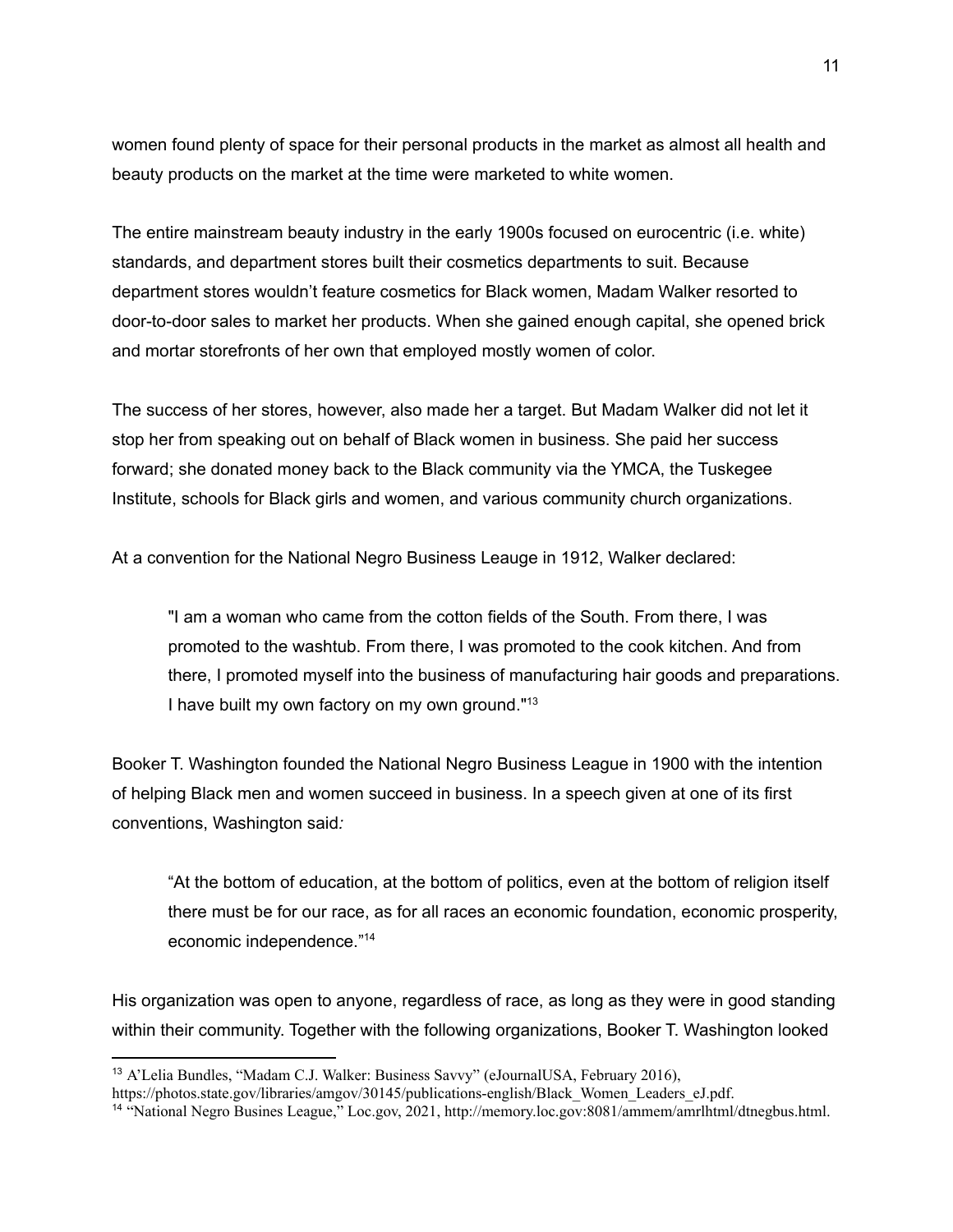women found plenty of space for their personal products in the market as almost all health and beauty products on the market at the time were marketed to white women.

The entire mainstream beauty industry in the early 1900s focused on eurocentric (i.e. white) standards, and department stores built their cosmetics departments to suit. Because department stores wouldn't feature cosmetics for Black women, Madam Walker resorted to door-to-door sales to market her products. When she gained enough capital, she opened brick and mortar storefronts of her own that employed mostly women of color.

The success of her stores, however, also made her a target. But Madam Walker did not let it stop her from speaking out on behalf of Black women in business. She paid her success forward; she donated money back to the Black community via the YMCA, the Tuskegee Institute, schools for Black girls and women, and various community church organizations.

At a convention for the National Negro Business Leauge in 1912, Walker declared:

"I am a woman who came from the cotton fields of the South. From there, I was promoted to the washtub. From there, I was promoted to the cook kitchen. And from there, I promoted myself into the business of manufacturing hair goods and preparations. I have built my own factory on my own ground."<sup>13</sup>

Booker T. Washington founded the National Negro Business League in 1900 with the intention of helping Black men and women succeed in business. In a speech given at one of its first conventions, Washington said*:*

"At the bottom of education, at the bottom of politics, even at the bottom of religion itself there must be for our race, as for all races an economic foundation, economic prosperity, economic independence." 14

His organization was open to anyone, regardless of race, as long as they were in good standing within their community. Together with the following organizations, Booker T. Washington looked

<sup>13</sup> A'Lelia Bundles, "Madam C.J. Walker: Business Savvy" (eJournalUSA, February 2016),

[https://photos.state.gov/libraries/amgov/30145/publications-english/Black\\_Women\\_Leaders\\_eJ.pdf.](https://photos.state.gov/libraries/amgov/30145/publications-english/Black_Women_Leaders_eJ.pdf)

<sup>14</sup> "National Negro Busines League," Loc.gov, 2021, <http://memory.loc.gov:8081/ammem/amrlhtml/dtnegbus.html>.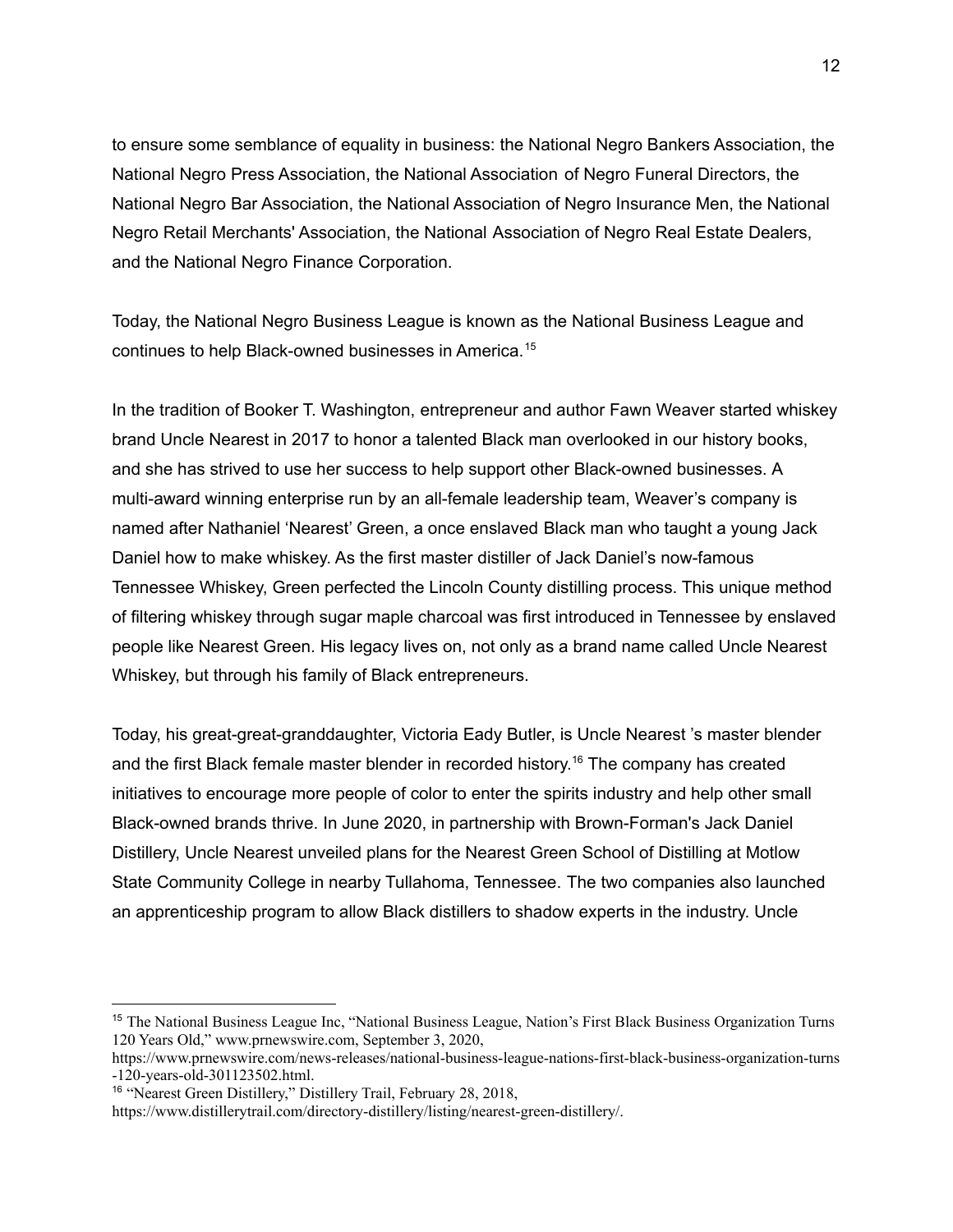to ensure some semblance of equality in business: the National Negro Bankers Association, the National Negro Press Association, the National Association of Negro Funeral Directors, the National Negro Bar Association, the National Association of Negro Insurance Men, the National Negro Retail Merchants' Association, the National Association of Negro Real Estate Dealers, and the National Negro Finance Corporation.

Today, the National Negro Business League is known as the National Business League and continues to help Black-owned businesses in America. 15

In the tradition of Booker T. Washington, entrepreneur and author Fawn Weaver started whiskey brand Uncle Nearest in 2017 to honor a talented Black man overlooked in our history books, and she has strived to use her success to help support other Black-owned businesses. A multi-award winning enterprise run by an all-female leadership team, Weaver's company is named after Nathaniel 'Nearest' Green, a once enslaved Black man who taught a young Jack Daniel how to make whiskey. As the first master distiller of Jack Daniel's now-famous Tennessee Whiskey, Green perfected the Lincoln County distilling process. This unique method of filtering whiskey through sugar maple charcoal was first introduced in Tennessee by enslaved people like Nearest Green. His legacy lives on, not only as a brand name called Uncle Nearest Whiskey, but through his family of Black entrepreneurs.

Today, his great-great-granddaughter, Victoria Eady Butler, is Uncle Nearest 's master blender and the first Black female master blender in recorded history. <sup>16</sup> The company has created initiatives to encourage more people of color to enter the spirits industry and help other small Black-owned brands thrive. In June 2020, in partnership with Brown-Forman's Jack Daniel Distillery, Uncle Nearest unveiled plans for the Nearest Green School of Distilling at Motlow State Community College in nearby Tullahoma, Tennessee. The two companies also launched an apprenticeship program to allow Black distillers to shadow experts in the industry. Uncle

<sup>15</sup> The National Business League Inc, "National Business League, Nation's First Black Business Organization Turns 120 Years Old," www.prnewswire.com, September 3, 2020,

[https://www.prnewswire.com/news-releases/national-business-league-nations-first-black-business-organization-turns](https://www.prnewswire.com/news-releases/national-business-league-nations-first-black-business-organization-turns-120-years-old-301123502.html) [-120-years-old-301123502.html.](https://www.prnewswire.com/news-releases/national-business-league-nations-first-black-business-organization-turns-120-years-old-301123502.html)

<sup>&</sup>lt;sup>16</sup> "Nearest Green Distillery," Distillery Trail, February 28, 2018,

<https://www.distillerytrail.com/directory-distillery/listing/nearest-green-distillery/>.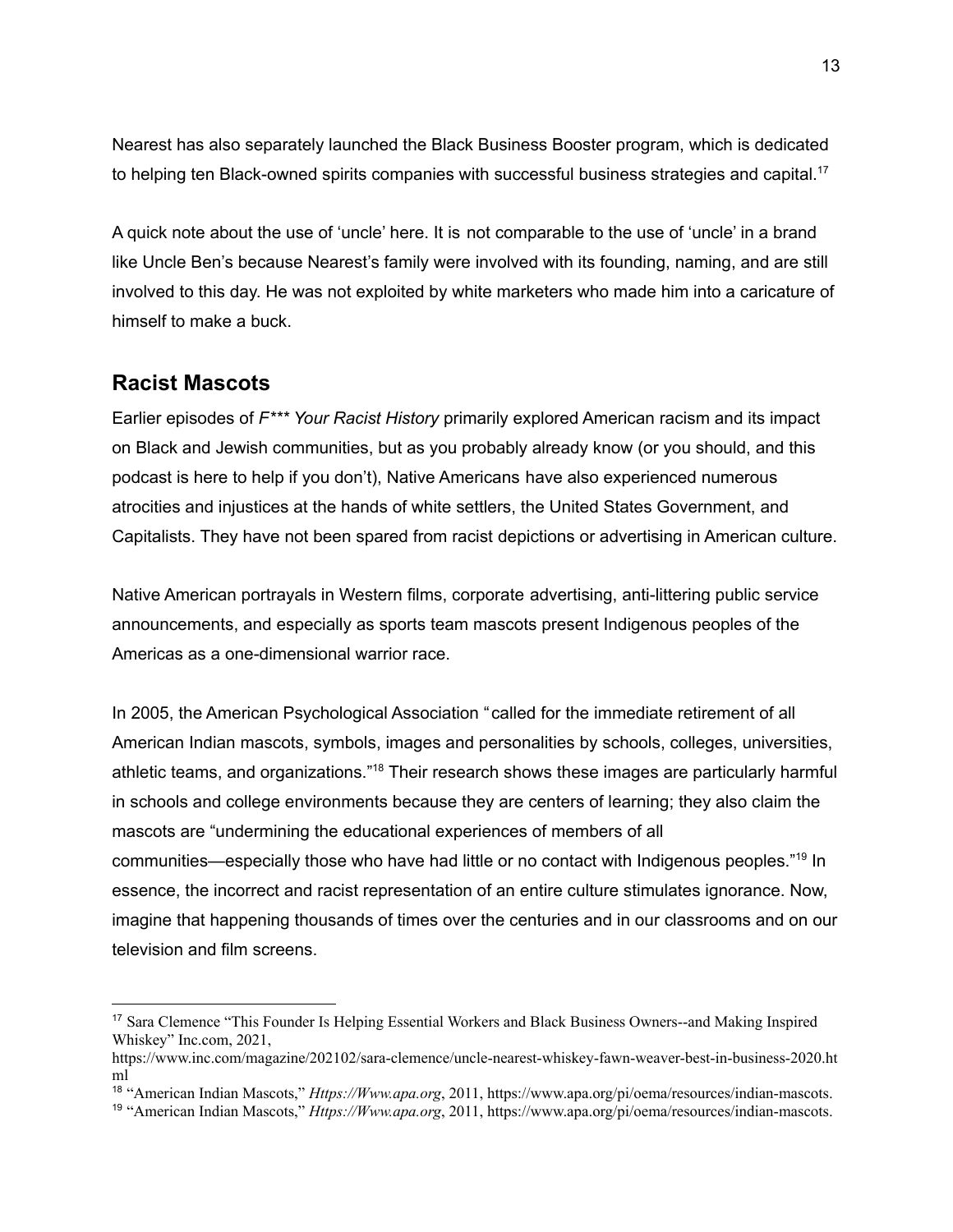Nearest has also separately launched the Black Business Booster program, which is dedicated to helping ten Black-owned spirits companies with successful business strategies and capital.<sup>17</sup>

A quick note about the use of 'uncle' here. It is not comparable to the use of 'uncle' in a brand like Uncle Ben's because Nearest's family were involved with its founding, naming, and are still involved to this day. He was not exploited by white marketers who made him into a caricature of himself to make a buck.

#### **Racist Mascots**

Earlier episodes of *F\*\*\* Your Racist History* primarily explored American racism and its impact on Black and Jewish communities, but as you probably already know (or you should, and this podcast is here to help if you don't), Native Americans have also experienced numerous atrocities and injustices at the hands of white settlers, the United States Government, and Capitalists. They have not been spared from racist depictions or advertising in American culture.

Native American portrayals in Western films, corporate advertising, anti-littering public service announcements, and especially as sports team mascots present Indigenous peoples of the Americas as a one-dimensional warrior race.

In 2005, the American Psychological Association "called for the immediate retirement of all American Indian mascots, symbols, images and personalities by schools, colleges, universities, athletic teams, and organizations."<sup>18</sup> Their research shows these images are particularly harmful in schools and college environments because they are centers of learning; they also claim the mascots are "undermining the educational experiences of members of all communities—especially those who have had little or no contact with Indigenous peoples."<sup>19</sup> In essence, the incorrect and racist representation of an entire culture stimulates ignorance. Now, imagine that happening thousands of times over the centuries and in our classrooms and on our television and film screens.

<sup>17</sup> Sara Clemence "This Founder Is Helping Essential Workers and Black Business Owners--and Making Inspired Whiskey" Inc.com, 2021,

[https://www.inc.com/magazine/202102/sara-clemence/uncle-nearest-whiskey-fawn-weaver-best-in-business-2020.ht](https://www.inc.com/magazine/202102/sara-clemence/uncle-nearest-whiskey-fawn-weaver-best-in-business-2020.html) [ml](https://www.inc.com/magazine/202102/sara-clemence/uncle-nearest-whiskey-fawn-weaver-best-in-business-2020.html)

<sup>18</sup> "American Indian Mascots," *Https://Www.apa.org*, 2011, [https://www.apa.org/pi/oema/resources/indian-mascots.](https://www.apa.org/pi/oema/resources/indian-mascots)

<sup>19</sup> "American Indian Mascots," *Https://Www.apa.org*, 2011, [https://www.apa.org/pi/oema/resources/indian-mascots.](https://www.apa.org/pi/oema/resources/indian-mascots)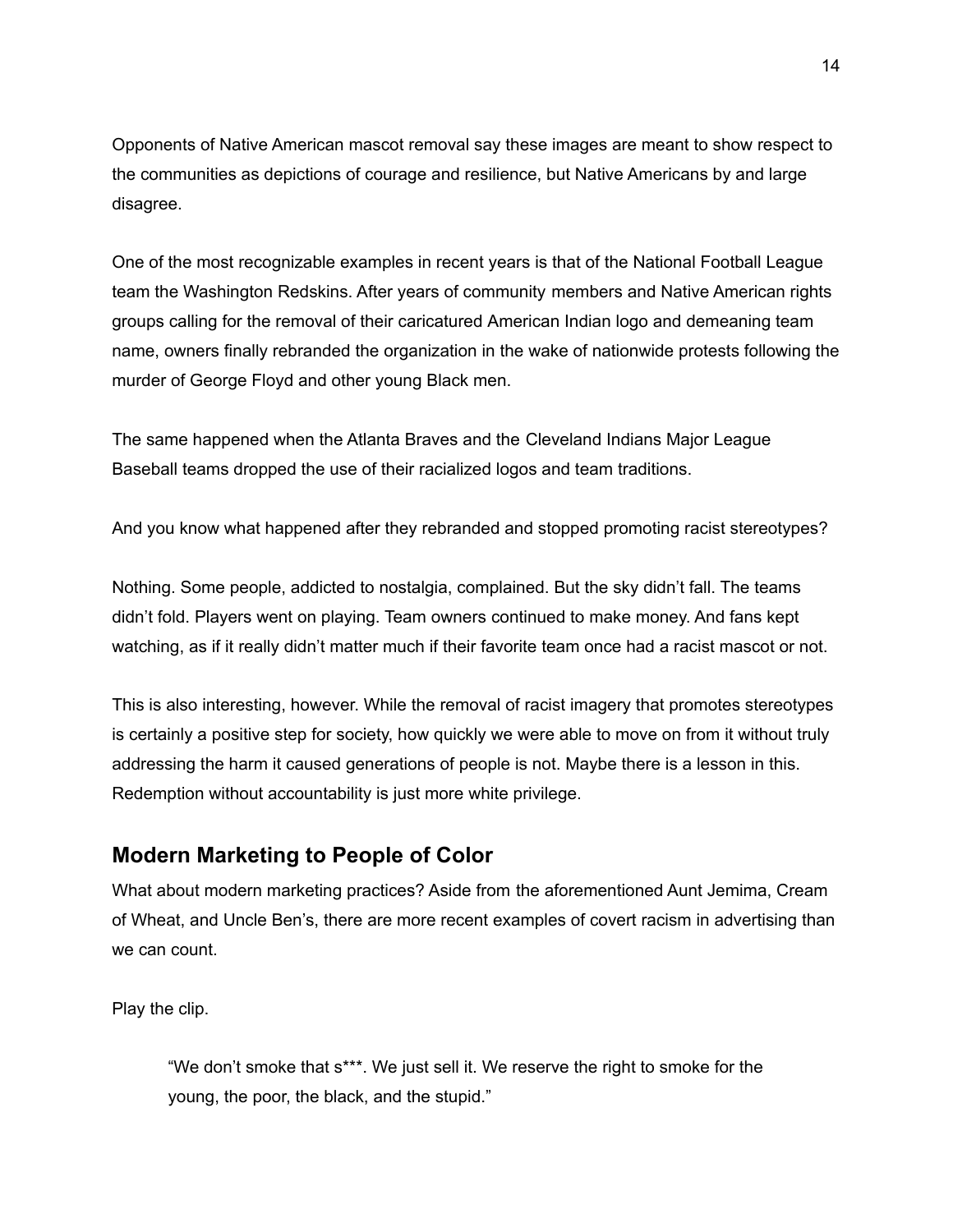Opponents of Native American mascot removal say these images are meant to show respect to the communities as depictions of courage and resilience, but Native Americans by and large disagree.

One of the most recognizable examples in recent years is that of the National Football League team the Washington Redskins. After years of community members and Native American rights groups calling for the removal of their caricatured American Indian logo and demeaning team name, owners finally rebranded the organization in the wake of nationwide protests following the murder of George Floyd and other young Black men.

The same happened when the Atlanta Braves and the Cleveland Indians Major League Baseball teams dropped the use of their racialized logos and team traditions.

And you know what happened after they rebranded and stopped promoting racist stereotypes?

Nothing. Some people, addicted to nostalgia, complained. But the sky didn't fall. The teams didn't fold. Players went on playing. Team owners continued to make money. And fans kept watching, as if it really didn't matter much if their favorite team once had a racist mascot or not.

This is also interesting, however. While the removal of racist imagery that promotes stereotypes is certainly a positive step for society, how quickly we were able to move on from it without truly addressing the harm it caused generations of people is not. Maybe there is a lesson in this. Redemption without accountability is just more white privilege.

#### **Modern Marketing to People of Color**

What about modern marketing practices? Aside from the aforementioned Aunt Jemima, Cream of Wheat, and Uncle Ben's, there are more recent examples of covert racism in advertising than we can count.

Play the clip.

"We don't smoke that s\*\*\*. We just sell it. We reserve the right to smoke for the young, the poor, the black, and the stupid."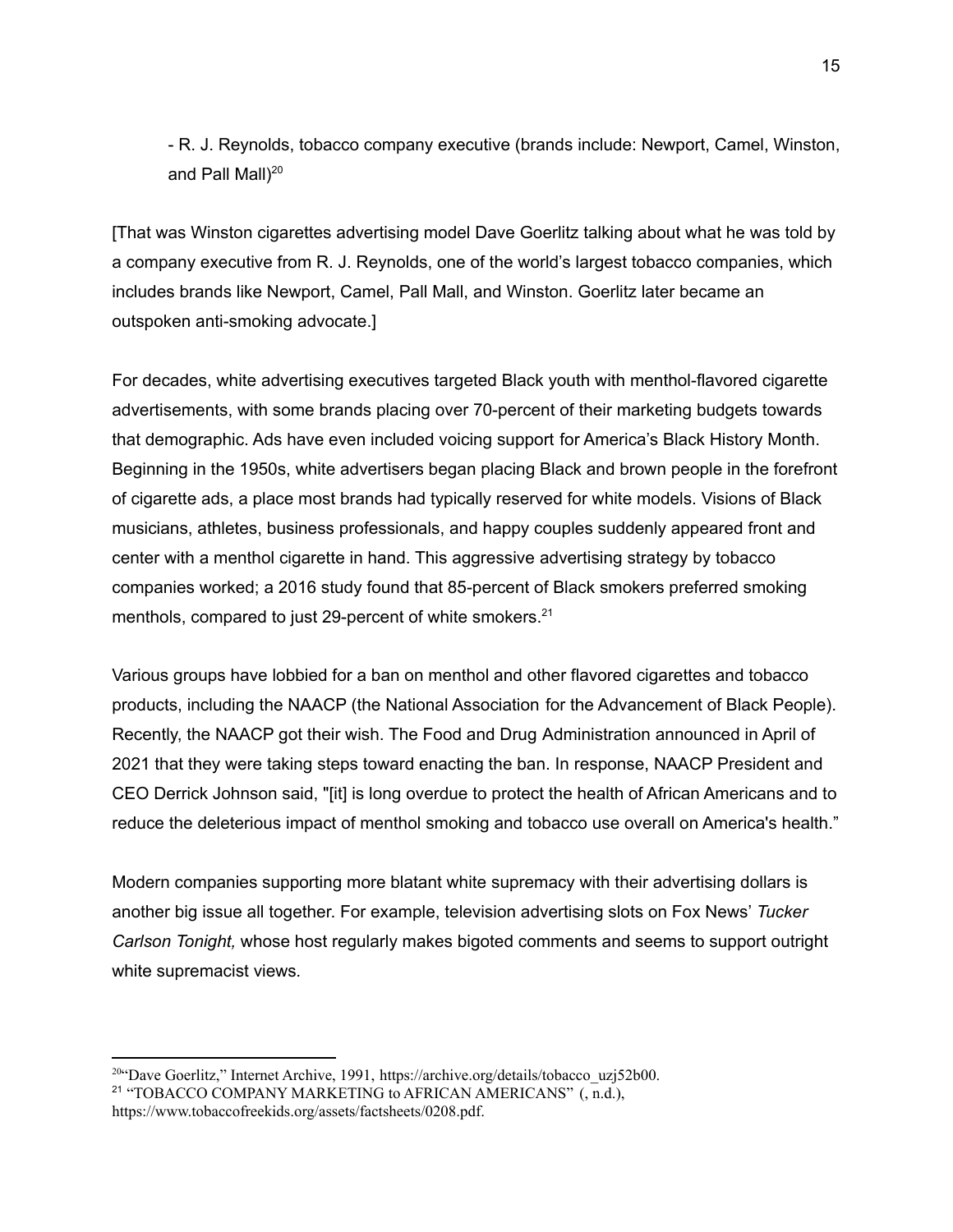- R. J. Reynolds, tobacco company executive (brands include: Newport, Camel, Winston, and Pall Mall)<sup>20</sup>

[That was Winston cigarettes advertising model Dave Goerlitz talking about what he was told by a company executive from R. J. Reynolds, one of the world's largest tobacco companies, which includes brands like Newport, Camel, Pall Mall, and Winston. Goerlitz later became an outspoken anti-smoking advocate.]

For decades, white advertising executives targeted Black youth with menthol-flavored cigarette advertisements, with some brands placing over 70-percent of their marketing budgets towards that demographic. Ads have even included voicing support for America's Black History Month. Beginning in the 1950s, white advertisers began placing Black and brown people in the forefront of cigarette ads, a place most brands had typically reserved for white models. Visions of Black musicians, athletes, business professionals, and happy couples suddenly appeared front and center with a menthol cigarette in hand. This aggressive advertising strategy by tobacco companies worked; a 2016 study found that 85-percent of Black smokers preferred smoking menthols, compared to just 29-percent of white smokers.<sup>21</sup>

Various groups have lobbied for a ban on menthol and other flavored cigarettes and tobacco products, including the NAACP (the National Association for the Advancement of Black People). Recently, the NAACP got their wish. The Food and Drug Administration announced in April of 2021 that they were taking steps toward enacting the ban. In response, NAACP President and CEO Derrick Johnson said, "[it] is long overdue to protect the health of African Americans and to reduce the deleterious impact of menthol smoking and tobacco use overall on America's health."

Modern companies supporting more blatant white supremacy with their advertising dollars is another big issue all together. For example, television advertising slots on Fox News' *Tucker Carlson Tonight,* whose host regularly makes bigoted comments and seems to support outright white supremacist views*.*

<sup>&</sup>lt;sup>21</sup> "TOBACCO COMPANY MARKETING to AFRICAN AMERICANS" (, n.d.), <https://www.tobaccofreekids.org/assets/factsheets/0208.pdf>. <sup>20"</sup>Dave Goerlitz," Internet Archive, 1991, [https://archive.org/details/tobacco\\_uzj52b00.](https://archive.org/details/tobacco_uzj52b00)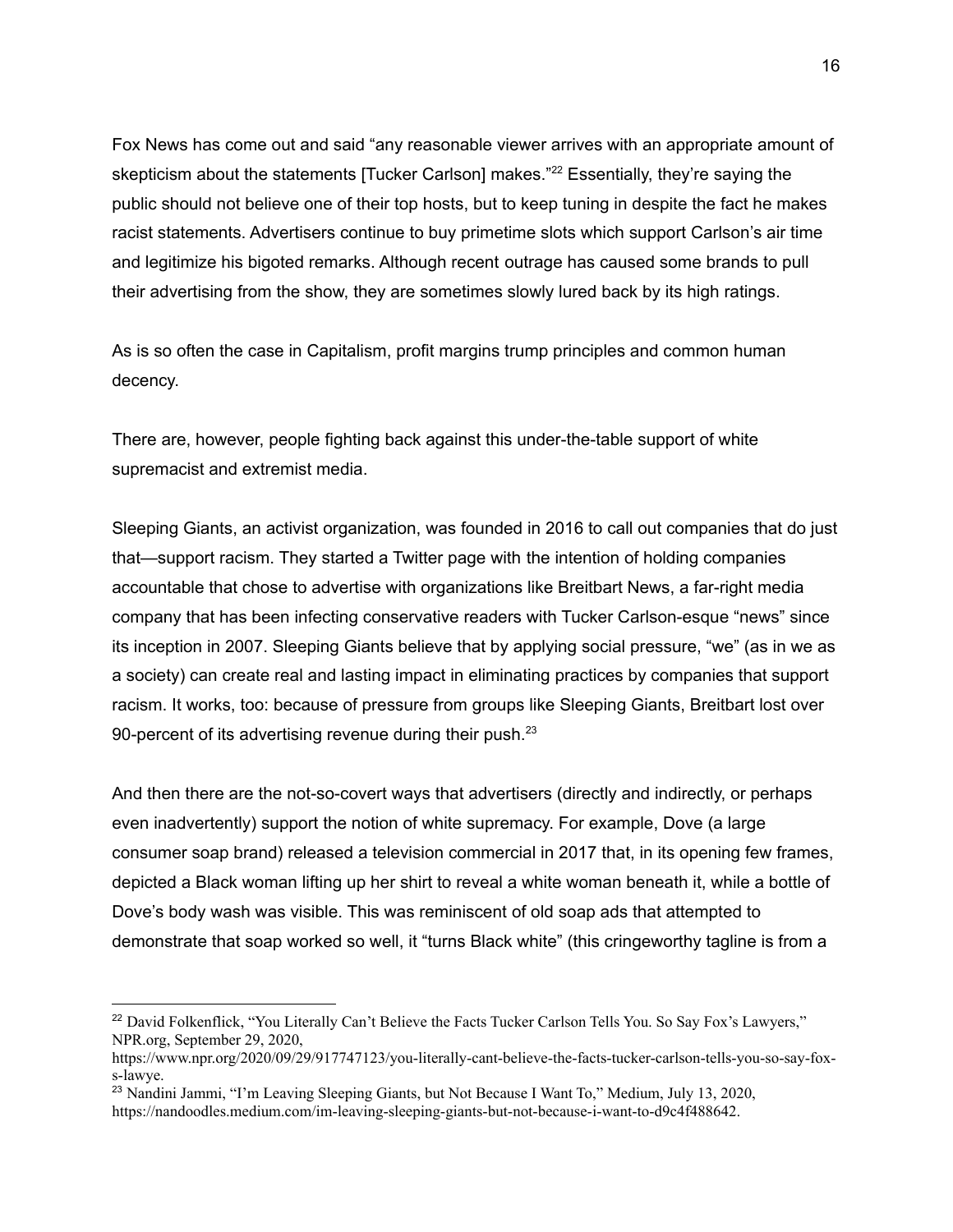Fox News has come out and said "any reasonable viewer arrives with an appropriate amount of skepticism about the statements [Tucker Carlson] makes."<sup>22</sup> Essentially, they're saying the public should not believe one of their top hosts, but to keep tuning in despite the fact he makes racist statements. Advertisers continue to buy primetime slots which support Carlson's air time and legitimize his bigoted remarks. Although recent outrage has caused some brands to pull their advertising from the show, they are sometimes slowly lured back by its high ratings.

As is so often the case in Capitalism, profit margins trump principles and common human decency.

There are, however, people fighting back against this under-the-table support of white supremacist and extremist media.

Sleeping Giants, an activist organization, was founded in 2016 to call out companies that do just that—support racism. They started a Twitter page with the intention of holding companies accountable that chose to advertise with organizations like Breitbart News, a far-right media company that has been infecting conservative readers with Tucker Carlson-esque "news" since its inception in 2007. Sleeping Giants believe that by applying social pressure, "we" (as in we as a society) can create real and lasting impact in eliminating practices by companies that support racism. It works, too: because of pressure from groups like Sleeping Giants, Breitbart lost over 90-percent of its advertising revenue during their push. $23$ 

And then there are the not-so-covert ways that advertisers (directly and indirectly, or perhaps even inadvertently) support the notion of white supremacy. For example, Dove (a large consumer soap brand) released a television commercial in 2017 that, in its opening few frames, depicted a Black woman lifting up her shirt to reveal a white woman beneath it, while a bottle of Dove's body wash was visible. This was reminiscent of old soap ads that attempted to demonstrate that soap worked so well, it "turns Black white" (this cringeworthy tagline is from a

<sup>&</sup>lt;sup>22</sup> David Folkenflick, "You Literally Can't Believe the Facts Tucker Carlson Tells You. So Say Fox's Lawyers," NPR.org, September 29, 2020,

[https://www.npr.org/2020/09/29/917747123/you-literally-cant-believe-the-facts-tucker-carlson-tells-you-so-say-fox](https://www.npr.org/2020/09/29/917747123/you-literally-cant-believe-the-facts-tucker-carlson-tells-you-so-say-fox-s-lawye)[s-lawye](https://www.npr.org/2020/09/29/917747123/you-literally-cant-believe-the-facts-tucker-carlson-tells-you-so-say-fox-s-lawye).

<sup>&</sup>lt;sup>23</sup> Nandini Jammi, "I'm Leaving Sleeping Giants, but Not Because I Want To," Medium, July 13, 2020,

<https://nandoodles.medium.com/im-leaving-sleeping-giants-but-not-because-i-want-to-d9c4f488642>.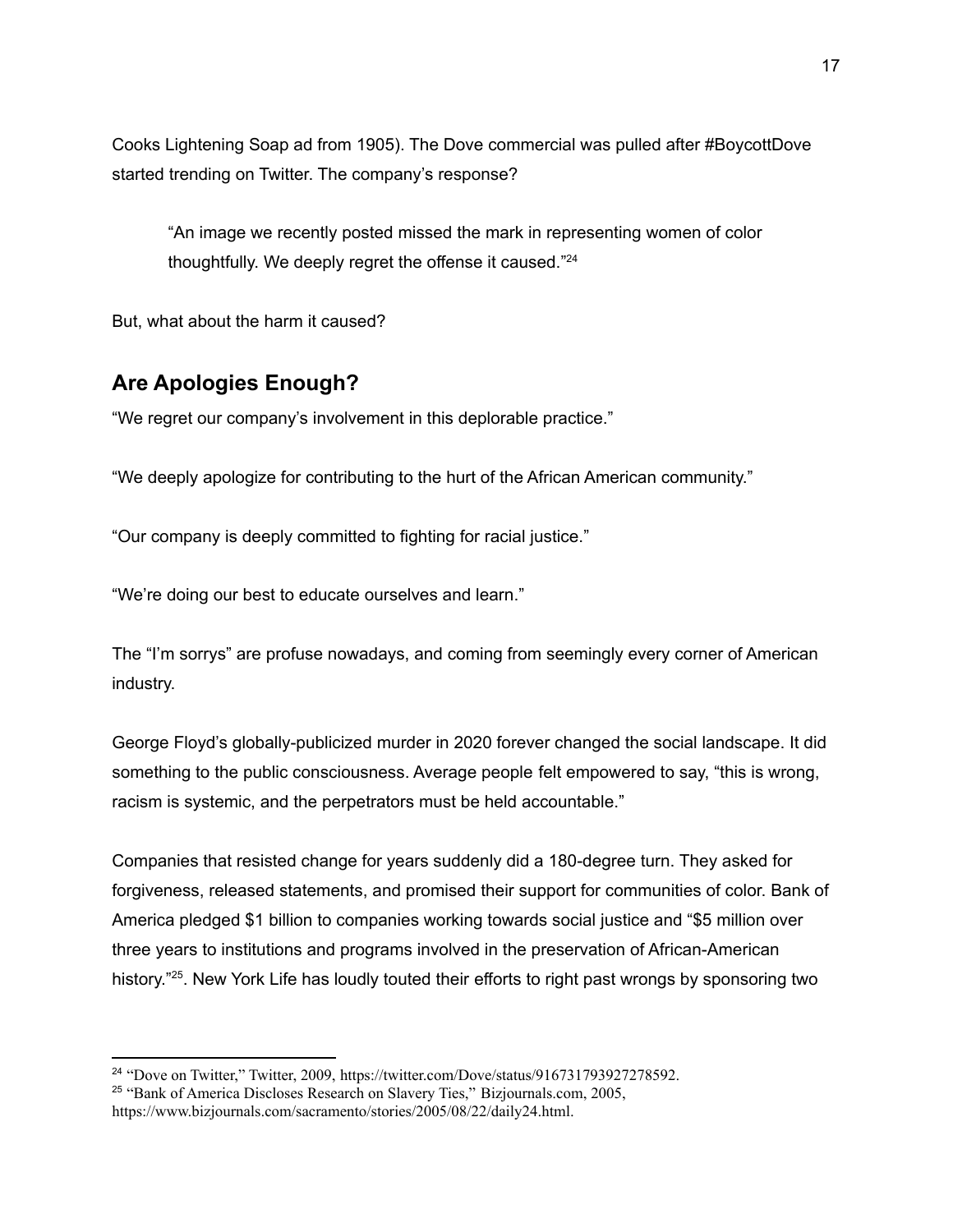Cooks Lightening Soap ad from 1905). The Dove commercial was pulled after #BoycottDove started trending on Twitter. The company's response?

"An image we recently posted missed the mark in representing women of color thoughtfully. We deeply regret the offense it caused."<sup>24</sup>

But, what about the harm it caused?

# **Are Apologies Enough?**

"We regret our company's involvement in this deplorable practice."

"We deeply apologize for contributing to the hurt of the African American community."

"Our company is deeply committed to fighting for racial justice."

"We're doing our best to educate ourselves and learn."

The "I'm sorrys" are profuse nowadays, and coming from seemingly every corner of American industry.

George Floyd's globally-publicized murder in 2020 forever changed the social landscape. It did something to the public consciousness. Average people felt empowered to say, "this is wrong, racism is systemic, and the perpetrators must be held accountable."

Companies that resisted change for years suddenly did a 180-degree turn. They asked for forgiveness, released statements, and promised their support for communities of color. Bank of America pledged \$1 billion to companies working towards social justice and "\$5 million over three years to institutions and programs involved in the preservation of African-American history."<sup>25</sup>. New York Life has loudly touted their efforts to right past wrongs by sponsoring two

<sup>&</sup>lt;sup>25</sup> "Bank of America Discloses Research on Slavery Ties," Bizjournals.com, 2005, <sup>24</sup> "Dove on Twitter," Twitter, 2009, <https://twitter.com/Dove/status/916731793927278592>.

<https://www.bizjournals.com/sacramento/stories/2005/08/22/daily24.html>.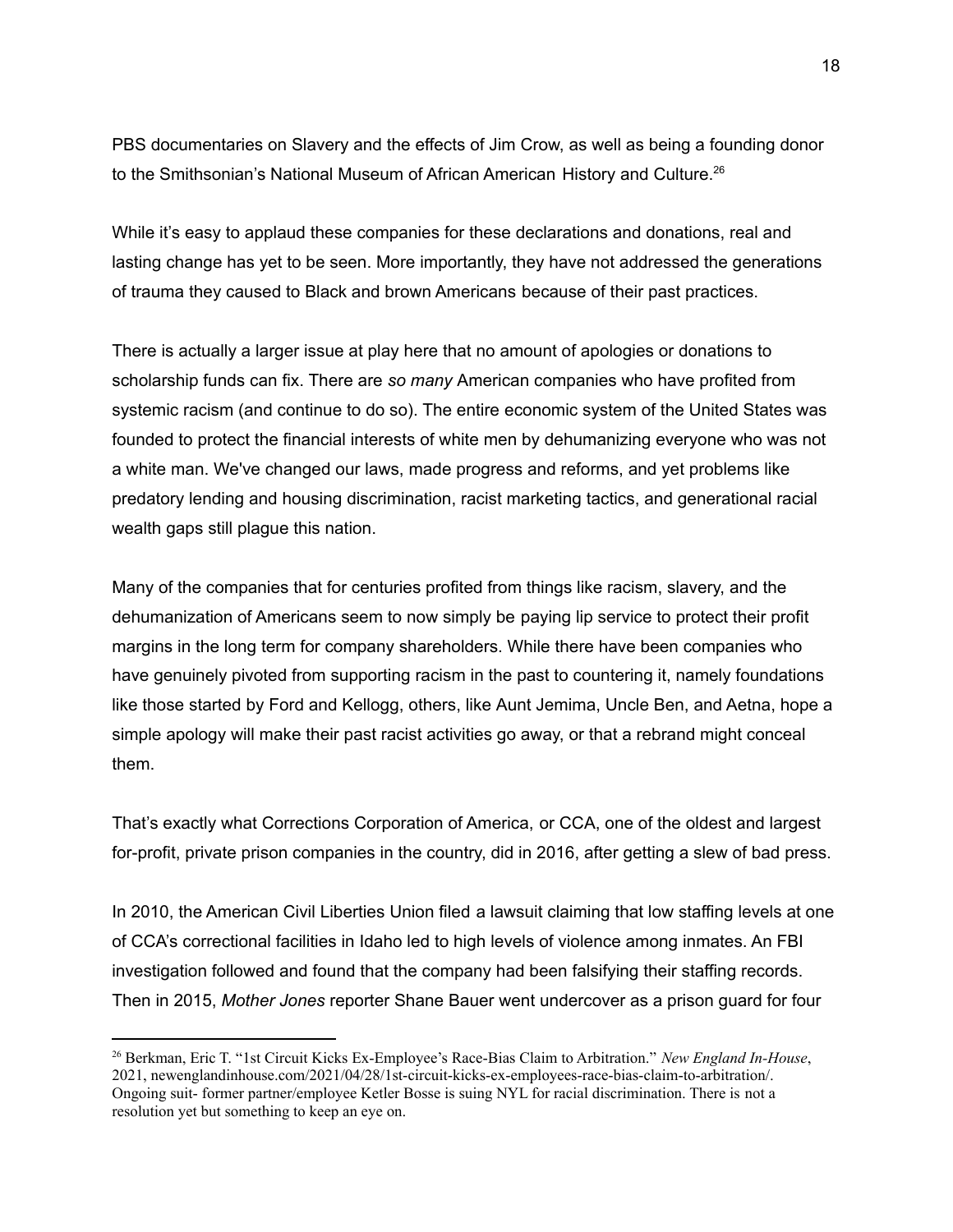PBS documentaries on Slavery and the effects of Jim Crow, as well as being a founding donor to the Smithsonian's National Museum of African American History and Culture.<sup>26</sup>

While it's easy to applaud these companies for these declarations and donations, real and lasting change has yet to be seen. More importantly, they have not addressed the generations of trauma they caused to Black and brown Americans because of their past practices.

There is actually a larger issue at play here that no amount of apologies or donations to scholarship funds can fix. There are *so many* American companies who have profited from systemic racism (and continue to do so). The entire economic system of the United States was founded to protect the financial interests of white men by dehumanizing everyone who was not a white man. We've changed our laws, made progress and reforms, and yet problems like predatory lending and housing discrimination, racist marketing tactics, and generational racial wealth gaps still plague this nation.

Many of the companies that for centuries profited from things like racism, slavery, and the dehumanization of Americans seem to now simply be paying lip service to protect their profit margins in the long term for company shareholders. While there have been companies who have genuinely pivoted from supporting racism in the past to countering it, namely foundations like those started by Ford and Kellogg, others, like Aunt Jemima, Uncle Ben, and Aetna, hope a simple apology will make their past racist activities go away, or that a rebrand might conceal them.

That's exactly what Corrections Corporation of America, or CCA, one of the oldest and largest for-profit, private prison companies in the country, did in 2016, after getting a slew of bad press.

In 2010, the American Civil Liberties Union filed a lawsuit claiming that low staffing levels at one of CCA's correctional facilities in Idaho led to high levels of violence among inmates. An FBI investigation followed and found that the company had been falsifying their staffing records. Then in 2015, *Mother Jones* reporter Shane Bauer went undercover as a prison guard for four

<sup>26</sup> Berkman, Eric T. "1st Circuit Kicks Ex-Employee's Race-Bias Claim to Arbitration." *New England In-House*, 2021, newenglandinhouse.com/2021/04/28/1st-circuit-kicks-ex-employees-race-bias-claim-to-arbitration/. Ongoing suit- former partner/employee Ketler Bosse is suing NYL for racial discrimination. There is not a resolution yet but something to keep an eye on.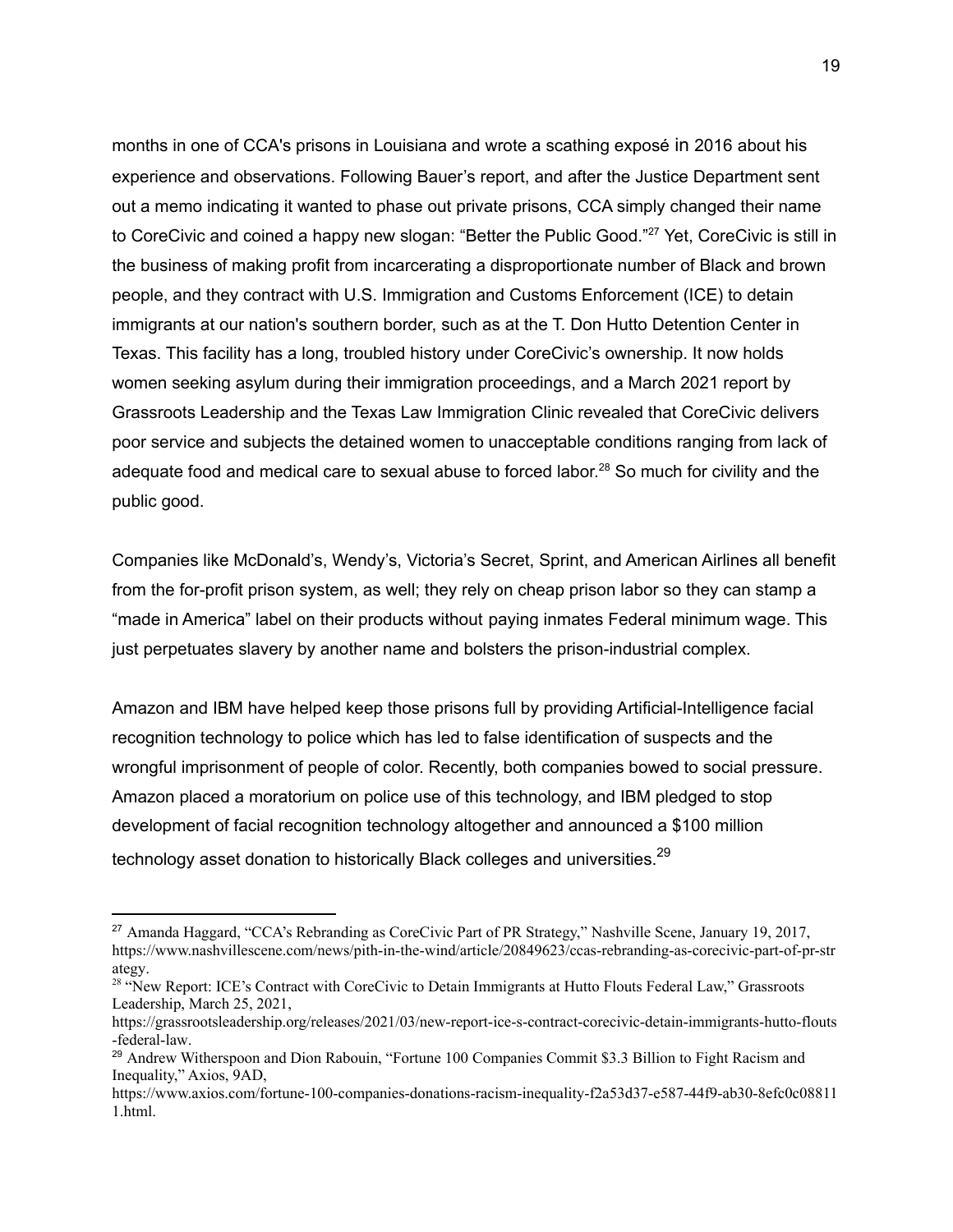months in one of CCA's prisons in Louisiana and wrote a scathing exposé in 2016 about his experience and observations. Following Bauer's report, and after the Justice Department sent out a memo indicating it wanted to phase out private prisons, CCA simply changed their name to CoreCivic and coined a happy new slogan: "Better the Public Good."<sup>27</sup> Yet, CoreCivic is still in the business of making profit from incarcerating a disproportionate number of Black and brown people, and they contract with U.S. Immigration and Customs Enforcement (ICE) to detain immigrants at our nation's southern border, such as at the T. Don Hutto Detention Center in Texas. This facility has a long, troubled history under CoreCivic's ownership. It now holds women seeking asylum during their immigration proceedings, and a March 2021 report by Grassroots Leadership and the Texas Law Immigration Clinic revealed that CoreCivic delivers poor service and subjects the detained women to unacceptable conditions ranging from lack of adequate food and medical care to sexual abuse to forced labor.<sup>28</sup> So much for civility and the public good.

Companies like McDonald's, Wendy's, Victoria's Secret, Sprint, and American Airlines all benefit from the for-profit prison system, as well; they rely on cheap prison labor so they can stamp a "made in America" label on their products without paying inmates Federal minimum wage. This just perpetuates slavery by another name and bolsters the prison-industrial complex.

Amazon and IBM have helped keep those prisons full by providing Artificial-Intelligence facial recognition technology to police which has led to false identification of suspects and the wrongful imprisonment of people of color. Recently, both companies bowed to social pressure. Amazon placed a moratorium on police use of this technology, and IBM pledged to stop development of facial recognition technology altogether and announced a \$100 million technology asset donation to historically Black colleges and universities. $^{29}$ 

<sup>&</sup>lt;sup>27</sup> Amanda Haggard, "CCA's Rebranding as CoreCivic Part of PR Strategy," Nashville Scene, January 19, 2017, [https://www.nashvillescene.com/news/pith-in-the-wind/article/20849623/ccas-rebranding-as-corecivic-part-of-pr-str](https://www.nashvillescene.com/news/pith-in-the-wind/article/20849623/ccas-rebranding-as-corecivic-part-of-pr-strategy) [ategy.](https://www.nashvillescene.com/news/pith-in-the-wind/article/20849623/ccas-rebranding-as-corecivic-part-of-pr-strategy)

<sup>&</sup>lt;sup>28</sup> "New Report: ICE's Contract with CoreCivic to Detain Immigrants at Hutto Flouts Federal Law," Grassroots Leadership, March 25, 2021,

[https://grassrootsleadership.org/releases/2021/03/new-report-ice-s-contract-corecivic-detain-immigrants-hutto-flouts](https://grassrootsleadership.org/releases/2021/03/new-report-ice-s-contract-corecivic-detain-immigrants-hutto-flouts-federal-law) [-federal-law.](https://grassrootsleadership.org/releases/2021/03/new-report-ice-s-contract-corecivic-detain-immigrants-hutto-flouts-federal-law)

<sup>&</sup>lt;sup>29</sup> Andrew Witherspoon and Dion Rabouin, "Fortune 100 Companies Commit \$3.3 Billion to Fight Racism and Inequality," Axios, 9AD,

[https://www.axios.com/fortune-100-companies-donations-racism-inequality-f2a53d37-e587-44f9-ab30-8efc0c08811](https://www.axios.com/fortune-100-companies-donations-racism-inequality-f2a53d37-e587-44f9-ab30-8efc0c088111.html) [1.html.](https://www.axios.com/fortune-100-companies-donations-racism-inequality-f2a53d37-e587-44f9-ab30-8efc0c088111.html)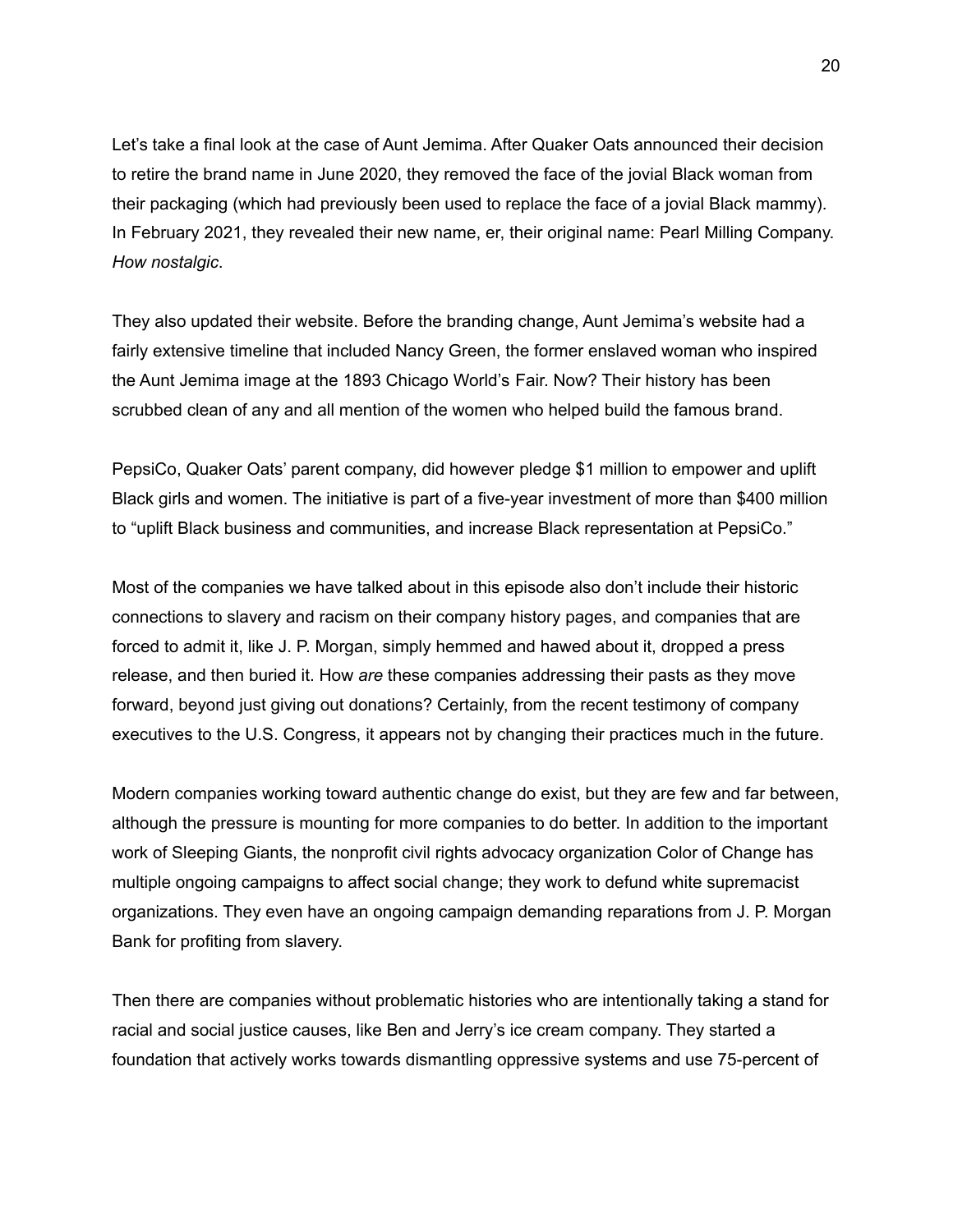Let's take a final look at the case of Aunt Jemima. After Quaker Oats announced their decision to retire the brand name in June 2020, they removed the face of the jovial Black woman from their packaging (which had previously been used to replace the face of a jovial Black mammy). In February 2021, they revealed their new name, er, their original name: Pearl Milling Company. *How nostalgic*.

They also updated their website. Before the branding change, Aunt Jemima's website had a fairly extensive timeline that included Nancy Green, the former enslaved woman who inspired the Aunt Jemima image at the 1893 Chicago World's Fair. Now? Their history has been scrubbed clean of any and all mention of the women who helped build the famous brand.

PepsiCo, Quaker Oats' parent company, did however pledge \$1 million to empower and uplift Black girls and women. The initiative is part of a five-year investment of more than \$400 million to "uplift Black business and communities, and increase Black representation at PepsiCo."

Most of the companies we have talked about in this episode also don't include their historic connections to slavery and racism on their company history pages, and companies that are forced to admit it, like J. P. Morgan, simply hemmed and hawed about it, dropped a press release, and then buried it. How *are* these companies addressing their pasts as they move forward, beyond just giving out donations? Certainly, from the recent testimony of company executives to the U.S. Congress, it appears not by changing their practices much in the future.

Modern companies working toward authentic change do exist, but they are few and far between, although the pressure is mounting for more companies to do better. In addition to the important work of Sleeping Giants, the nonprofit civil rights advocacy organization Color of Change has multiple ongoing campaigns to affect social change; they work to defund white supremacist organizations. They even have an ongoing campaign demanding reparations from J. P. Morgan Bank for profiting from slavery.

Then there are companies without problematic histories who are intentionally taking a stand for racial and social justice causes, like Ben and Jerry's ice cream company. They started a foundation that actively works towards dismantling oppressive systems and use 75-percent of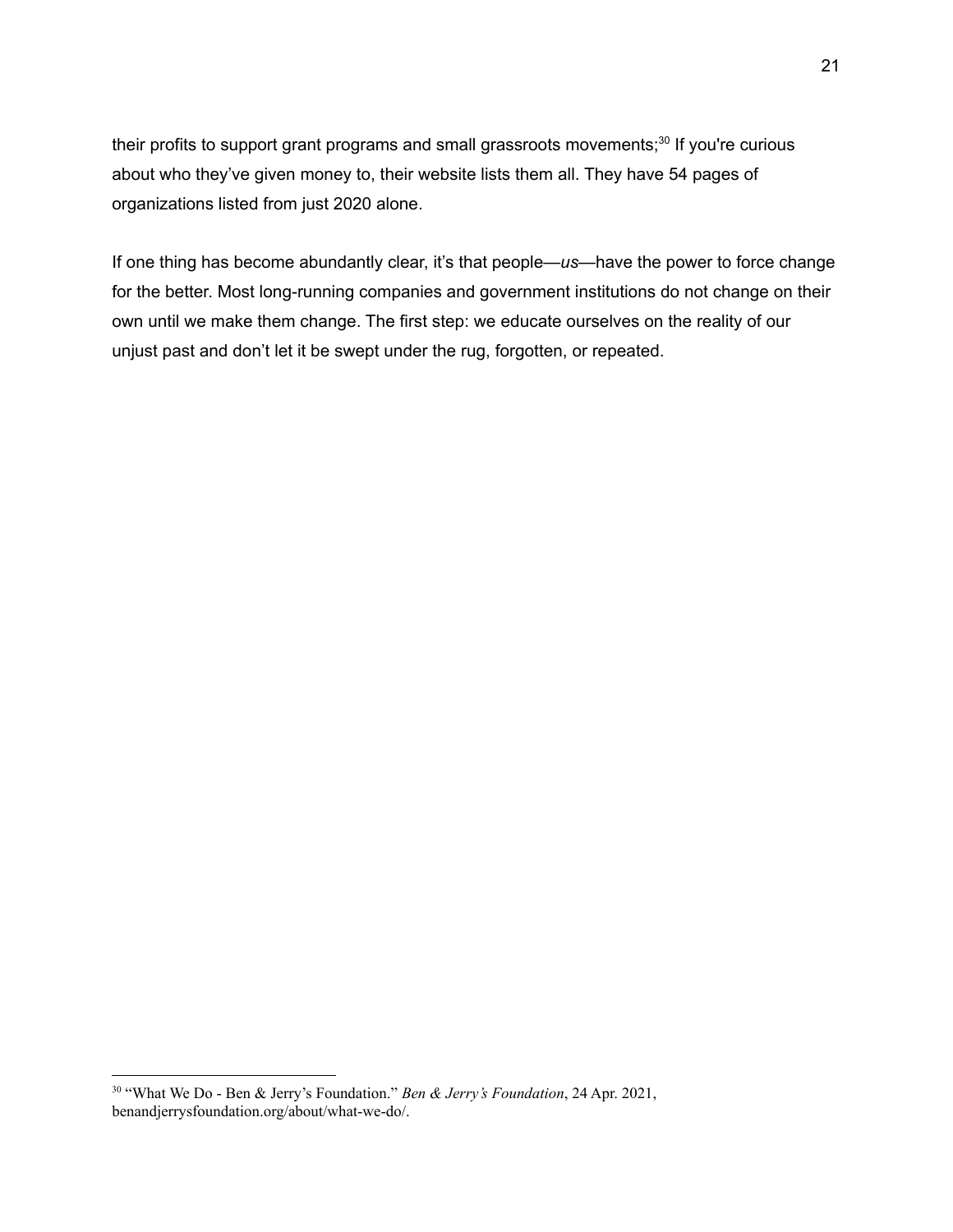their profits to support grant programs and small grassroots movements;<sup>30</sup> If you're curious about who they've given money to, their website lists them all. They have 54 pages of organizations listed from just 2020 alone.

If one thing has become abundantly clear, it's that people—*us*—have the power to force change for the better. Most long-running companies and government institutions do not change on their own until we make them change. The first step: we educate ourselves on the reality of our unjust past and don't let it be swept under the rug, forgotten, or repeated.

<sup>30</sup> "What We Do - Ben & Jerry's Foundation." *Ben & Jerry's Foundation*, 24 Apr. 2021, benandjerrysfoundation.org/about/what-we-do/.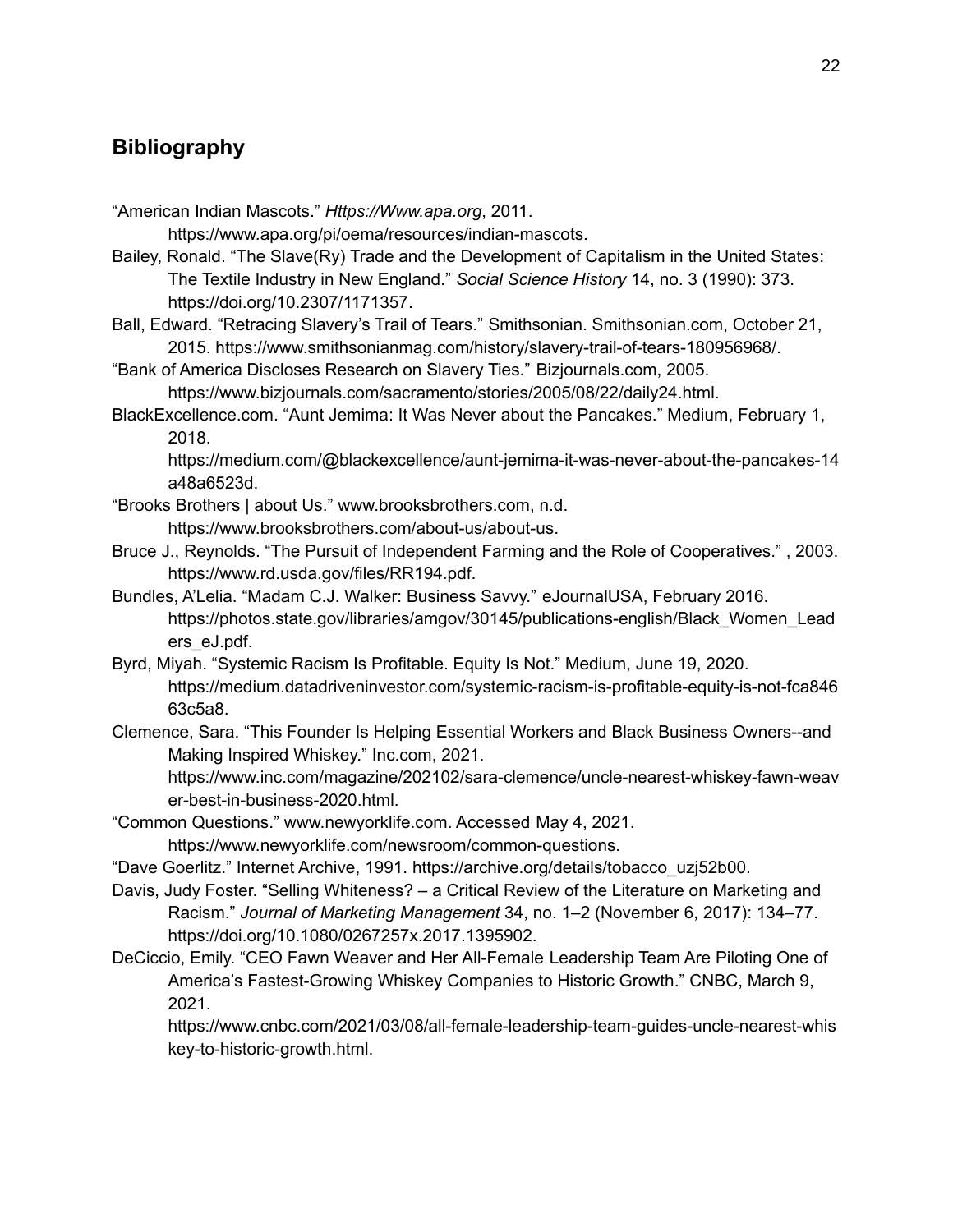# **Bibliography**

"American Indian Mascots." *Https://Www.apa.org*, 2011.

https://www.apa.org/pi/oema/resources/indian-mascots.

- Bailey, Ronald. "The Slave(Ry) Trade and the Development of Capitalism in the United States: The Textile Industry in New England." *Social Science History* 14, no. 3 (1990): 373. https://doi.org/10.2307/1171357.
- Ball, Edward. "Retracing Slavery's Trail of Tears." Smithsonian. Smithsonian.com, October 21, 2015. https://www.smithsonianmag.com/history/slavery-trail-of-tears-180956968/.
- "Bank of America Discloses Research on Slavery Ties." Bizjournals.com, 2005. https://www.bizjournals.com/sacramento/stories/2005/08/22/daily24.html.
- BlackExcellence.com. "Aunt Jemima: It Was Never about the Pancakes." Medium, February 1, 2018.

https://medium.com/@blackexcellence/aunt-jemima-it-was-never-about-the-pancakes-14 a48a6523d.

- "Brooks Brothers | about Us." www.brooksbrothers.com, n.d. https://www.brooksbrothers.com/about-us/about-us.
- Bruce J., Reynolds. "The Pursuit of Independent Farming and the Role of Cooperatives." , 2003. https://www.rd.usda.gov/files/RR194.pdf.
- Bundles, A'Lelia. "Madam C.J. Walker: Business Savvy." eJournalUSA, February 2016. https://photos.state.gov/libraries/amgov/30145/publications-english/Black\_Women\_Lead ers\_eJ.pdf.
- Byrd, Miyah. "Systemic Racism Is Profitable. Equity Is Not." Medium, June 19, 2020. [https://medium.datadriveninvestor.com/systemic-racism-is-profitable-equity-is-not-fca846](https://medium.datadriveninvestor.com/systemic-racism-is-profitable-equity-is-not-fca84663c5a8) [63c5a8](https://medium.datadriveninvestor.com/systemic-racism-is-profitable-equity-is-not-fca84663c5a8).
- Clemence, Sara. "This Founder Is Helping Essential Workers and Black Business Owners--and Making Inspired Whiskey." Inc.com, 2021.

https://www.inc.com/magazine/202102/sara-clemence/uncle-nearest-whiskey-fawn-weav er-best-in-business-2020.html.

"Common Questions." www.newyorklife.com. Accessed May 4, 2021.

https://www.newyorklife.com/newsroom/common-questions.

- "Dave Goerlitz." Internet Archive, 1991. https://archive.org/details/tobacco\_uzj52b00.
- Davis, Judy Foster. "Selling Whiteness? a Critical Review of the Literature on Marketing and Racism." *Journal of Marketing Management* 34, no. 1–2 (November 6, 2017): 134–77. https://doi.org/10.1080/0267257x.2017.1395902.
- DeCiccio, Emily. "CEO Fawn Weaver and Her All-Female Leadership Team Are Piloting One of America's Fastest-Growing Whiskey Companies to Historic Growth." CNBC, March 9, 2021.

https://www.cnbc.com/2021/03/08/all-female-leadership-team-guides-uncle-nearest-whis key-to-historic-growth.html.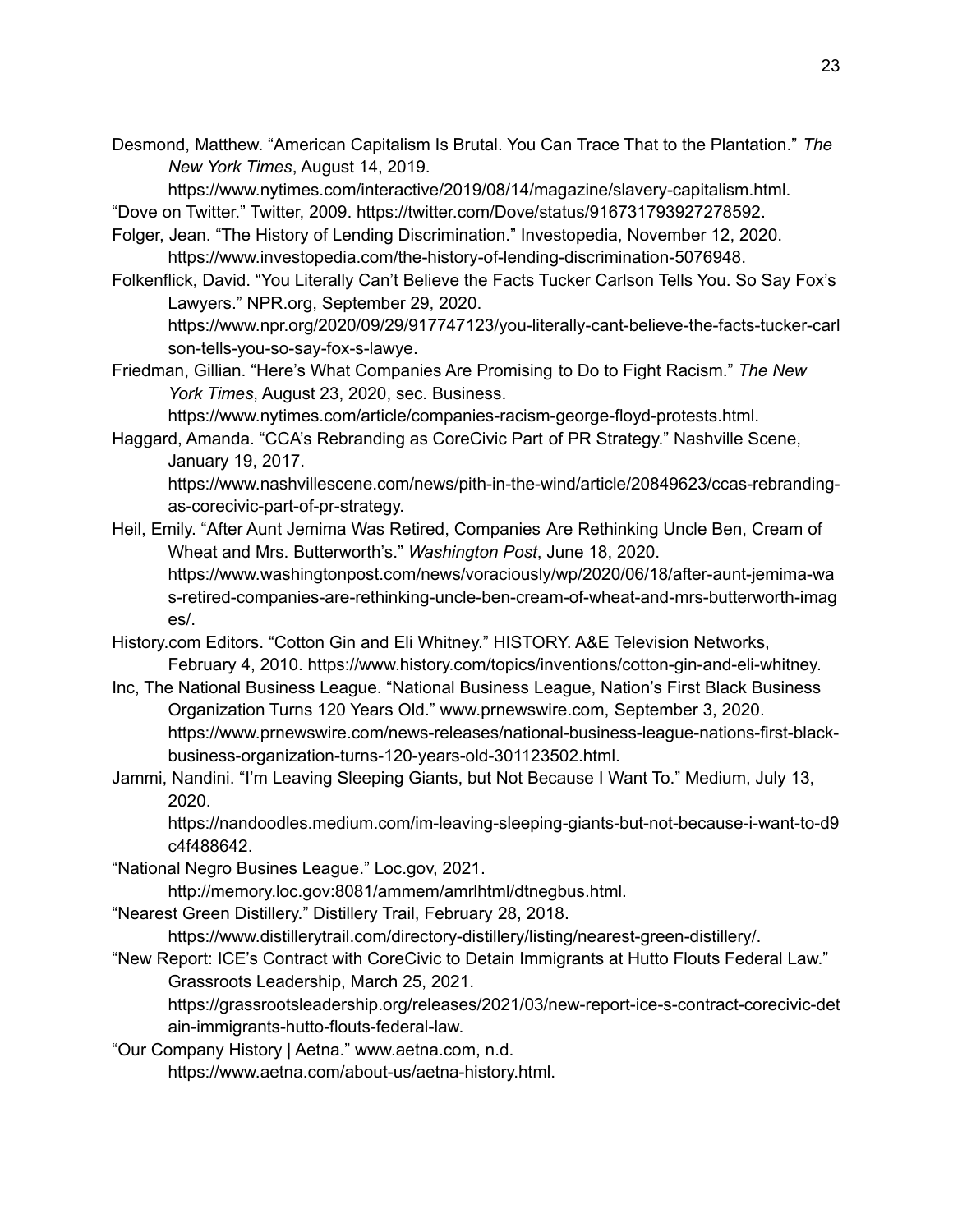Desmond, Matthew. "American Capitalism Is Brutal. You Can Trace That to the Plantation." *The New York Times*, August 14, 2019.

https://www.nytimes.com/interactive/2019/08/14/magazine/slavery-capitalism.html.

"Dove on Twitter." Twitter, 2009. https://twitter.com/Dove/status/916731793927278592.

- Folger, Jean. "The History of Lending Discrimination." Investopedia, November 12, 2020. https://www.investopedia.com/the-history-of-lending-discrimination-5076948.
- Folkenflick, David. "You Literally Can't Believe the Facts Tucker Carlson Tells You. So Say Fox's Lawyers." NPR.org, September 29, 2020.

https://www.npr.org/2020/09/29/917747123/you-literally-cant-believe-the-facts-tucker-carl son-tells-you-so-say-fox-s-lawye.

Friedman, Gillian. "Here's What Companies Are Promising to Do to Fight Racism." *The New York Times*, August 23, 2020, sec. Business.

https://www.nytimes.com/article/companies-racism-george-floyd-protests.html.

Haggard, Amanda. "CCA's Rebranding as CoreCivic Part of PR Strategy." Nashville Scene, January 19, 2017.

https://www.nashvillescene.com/news/pith-in-the-wind/article/20849623/ccas-rebrandingas-corecivic-part-of-pr-strategy.

- Heil, Emily. "After Aunt Jemima Was Retired, Companies Are Rethinking Uncle Ben, Cream of Wheat and Mrs. Butterworth's." *Washington Post*, June 18, 2020. https://www.washingtonpost.com/news/voraciously/wp/2020/06/18/after-aunt-jemima-wa s-retired-companies-are-rethinking-uncle-ben-cream-of-wheat-and-mrs-butterworth-imag es/.
- History.com Editors. "Cotton Gin and Eli Whitney." HISTORY. A&E Television Networks, February 4, 2010. https://www.history.com/topics/inventions/cotton-gin-and-eli-whitney.
- Inc, The National Business League. "National Business League, Nation's First Black Business Organization Turns 120 Years Old." www.prnewswire.com, September 3, 2020. https://www.prnewswire.com/news-releases/national-business-league-nations-first-blackbusiness-organization-turns-120-years-old-301123502.html.
- Jammi, Nandini. "I'm Leaving Sleeping Giants, but Not Because I Want To." Medium, July 13, 2020.

https://nandoodles.medium.com/im-leaving-sleeping-giants-but-not-because-i-want-to-d9 c4f488642.

"National Negro Busines League." Loc.gov, 2021.

http://memory.loc.gov:8081/ammem/amrlhtml/dtnegbus.html.

"Nearest Green Distillery." Distillery Trail, February 28, 2018.

https://www.distillerytrail.com/directory-distillery/listing/nearest-green-distillery/.

"New Report: ICE's Contract with CoreCivic to Detain Immigrants at Hutto Flouts Federal Law." Grassroots Leadership, March 25, 2021.

https://grassrootsleadership.org/releases/2021/03/new-report-ice-s-contract-corecivic-det ain-immigrants-hutto-flouts-federal-law.

"Our Company History | Aetna." www.aetna.com, n.d.

https://www.aetna.com/about-us/aetna-history.html.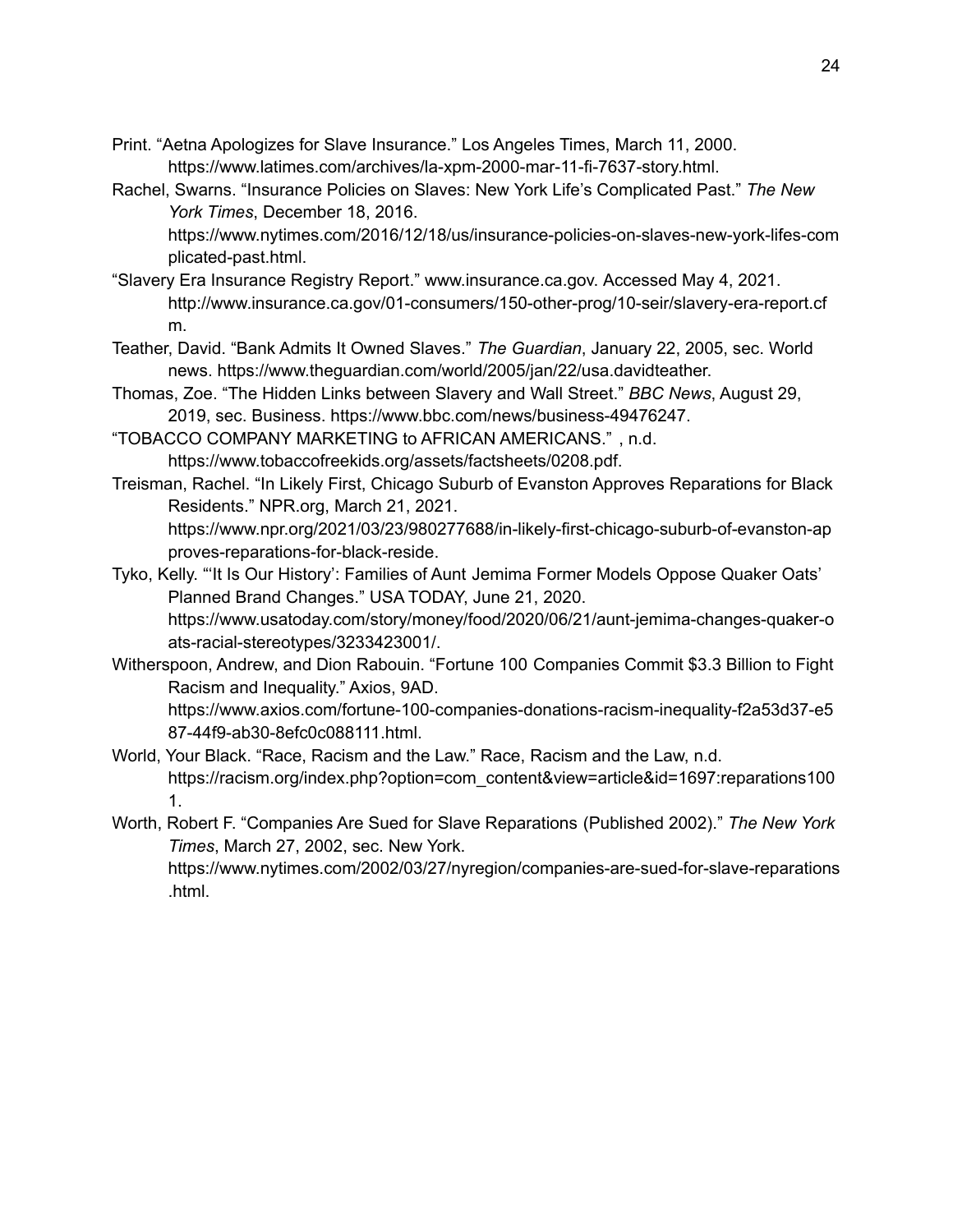- Print. "Aetna Apologizes for Slave Insurance." Los Angeles Times, March 11, 2000. https://www.latimes.com/archives/la-xpm-2000-mar-11-fi-7637-story.html.
- Rachel, Swarns. "Insurance Policies on Slaves: New York Life's Complicated Past." *The New York Times*, December 18, 2016.

https://www.nytimes.com/2016/12/18/us/insurance-policies-on-slaves-new-york-lifes-com plicated-past.html.

- "Slavery Era Insurance Registry Report." www.insurance.ca.gov. Accessed May 4, 2021. http://www.insurance.ca.gov/01-consumers/150-other-prog/10-seir/slavery-era-report.cf m.
- Teather, David. "Bank Admits It Owned Slaves." *The Guardian*, January 22, 2005, sec. World news. https://www.theguardian.com/world/2005/jan/22/usa.davidteather.
- Thomas, Zoe. "The Hidden Links between Slavery and Wall Street." *BBC News*, August 29, 2019, sec. Business. https://www.bbc.com/news/business-49476247.
- "TOBACCO COMPANY MARKETING to AFRICAN AMERICANS." , n.d. https://www.tobaccofreekids.org/assets/factsheets/0208.pdf.

.html.

Treisman, Rachel. "In Likely First, Chicago Suburb of Evanston Approves Reparations for Black Residents." NPR.org, March 21, 2021.

https://www.npr.org/2021/03/23/980277688/in-likely-first-chicago-suburb-of-evanston-ap proves-reparations-for-black-reside.

- Tyko, Kelly. "'It Is Our History': Families of Aunt Jemima Former Models Oppose Quaker Oats' Planned Brand Changes." USA TODAY, June 21, 2020. https://www.usatoday.com/story/money/food/2020/06/21/aunt-jemima-changes-quaker-o ats-racial-stereotypes/3233423001/.
- Witherspoon, Andrew, and Dion Rabouin. "Fortune 100 Companies Commit \$3.3 Billion to Fight Racism and Inequality." Axios, 9AD. https://www.axios.com/fortune-100-companies-donations-racism-inequality-f2a53d37-e5 87-44f9-ab30-8efc0c088111.html.
- World, Your Black. "Race, Racism and the Law." Race, Racism and the Law, n.d. https://racism.org/index.php?option=com\_content&view=article&id=1697:reparations100 1.
- Worth, Robert F. "Companies Are Sued for Slave Reparations (Published 2002)." *The New York Times*, March 27, 2002, sec. New York. https://www.nytimes.com/2002/03/27/nyregion/companies-are-sued-for-slave-reparations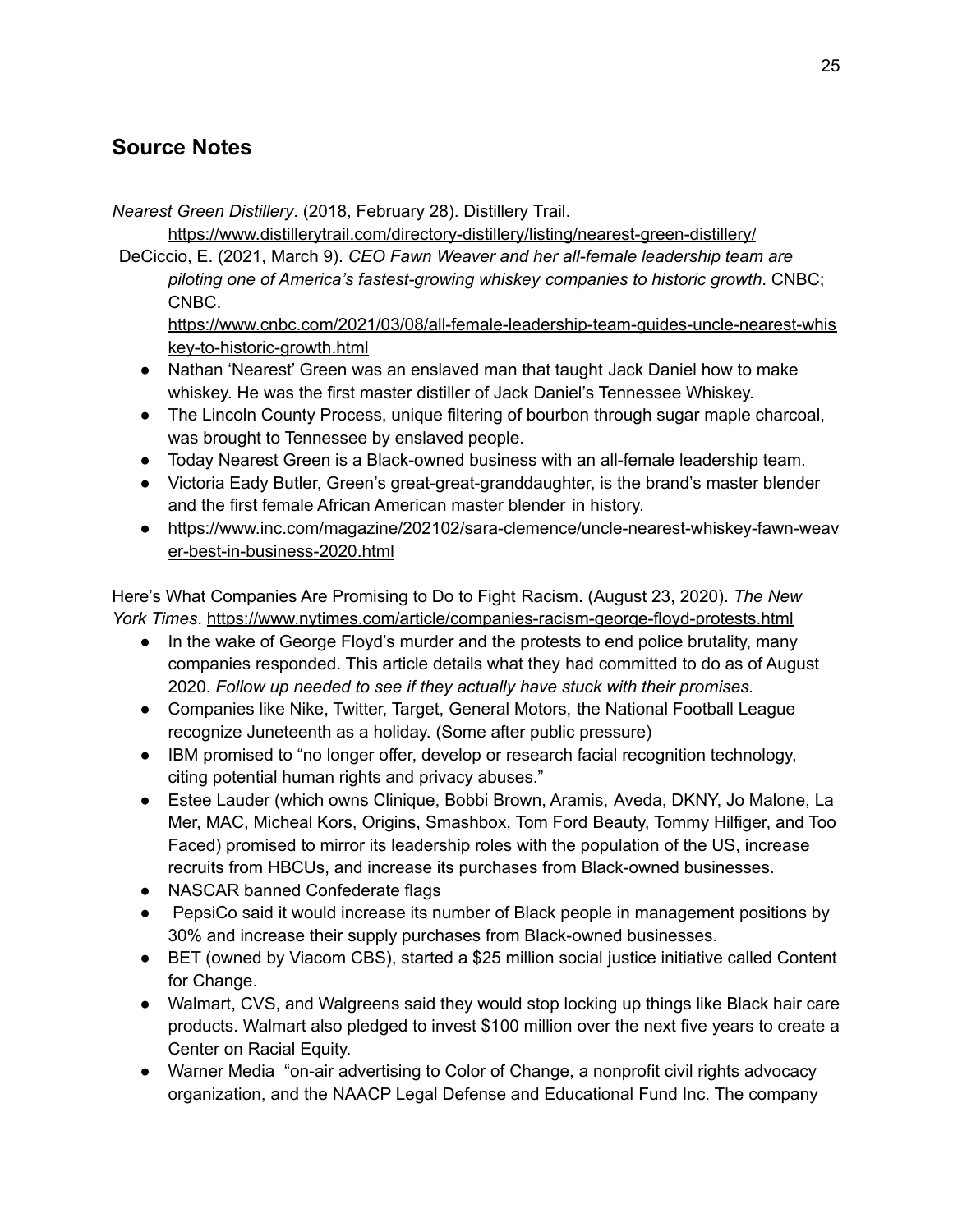# **Source Notes**

*Nearest Green Distillery*. (2018, February 28). Distillery Trail.

<https://www.distillerytrail.com/directory-distillery/listing/nearest-green-distillery/>

DeCiccio, E. (2021, March 9). *CEO Fawn Weaver and her all-female leadership team are piloting one of America's fastest-growing whiskey companies to historic growth*. CNBC; CNBC.

[https://www.cnbc.com/2021/03/08/all-female-leadership-team-guides-uncle-nearest-whis](https://www.cnbc.com/2021/03/08/all-female-leadership-team-guides-uncle-nearest-whiskey-to-historic-growth.html) [key-to-historic-growth.html](https://www.cnbc.com/2021/03/08/all-female-leadership-team-guides-uncle-nearest-whiskey-to-historic-growth.html)

- Nathan 'Nearest' Green was an enslaved man that taught Jack Daniel how to make whiskey. He was the first master distiller of Jack Daniel's Tennessee Whiskey.
- The Lincoln County Process, unique filtering of bourbon through sugar maple charcoal, was brought to Tennessee by enslaved people.
- Today Nearest Green is a Black-owned business with an all-female leadership team.
- Victoria Eady Butler, Green's great-great-granddaughter, is the brand's master blender and the first female African American master blender in history.
- [https://www.inc.com/magazine/202102/sara-clemence/uncle-nearest-whiskey-fawn-weav](https://www.inc.com/magazine/202102/sara-clemence/uncle-nearest-whiskey-fawn-weaver-best-in-business-2020.html) [er-best-in-business-2020.html](https://www.inc.com/magazine/202102/sara-clemence/uncle-nearest-whiskey-fawn-weaver-best-in-business-2020.html)

Here's What Companies Are Promising to Do to Fight Racism. (August 23, 2020). *The New York Times*. <https://www.nytimes.com/article/companies-racism-george-floyd-protests.html>

- In the wake of George Floyd's murder and the protests to end police brutality, many companies responded. This article details what they had committed to do as of August 2020. *Follow up needed to see if they actually have stuck with their promises.*
- Companies like Nike, Twitter, Target, General Motors, the National Football League recognize Juneteenth as a holiday. (Some after public pressure)
- IBM promised to "no longer offer, develop or research facial recognition technology, citing potential human rights and privacy abuses."
- Estee Lauder (which owns Clinique, Bobbi Brown, Aramis, Aveda, DKNY, Jo Malone, La Mer, MAC, Micheal Kors, Origins, Smashbox, Tom Ford Beauty, Tommy Hilfiger, and Too Faced) promised to mirror its leadership roles with the population of the US, increase recruits from HBCUs, and increase its purchases from Black-owned businesses.
- NASCAR banned Confederate flags
- PepsiCo said it would increase its number of Black people in management positions by 30% and increase their supply purchases from Black-owned businesses.
- BET (owned by Viacom CBS), started a \$25 million social justice initiative called Content for Change.
- Walmart, CVS, and Walgreens said they would stop locking up things like Black hair care products. Walmart also pledged to invest \$100 million over the next five years to create a Center on Racial Equity.
- Warner Media "on-air advertising to Color of Change, a nonprofit civil rights advocacy organization, and the NAACP Legal Defense and Educational Fund Inc. The company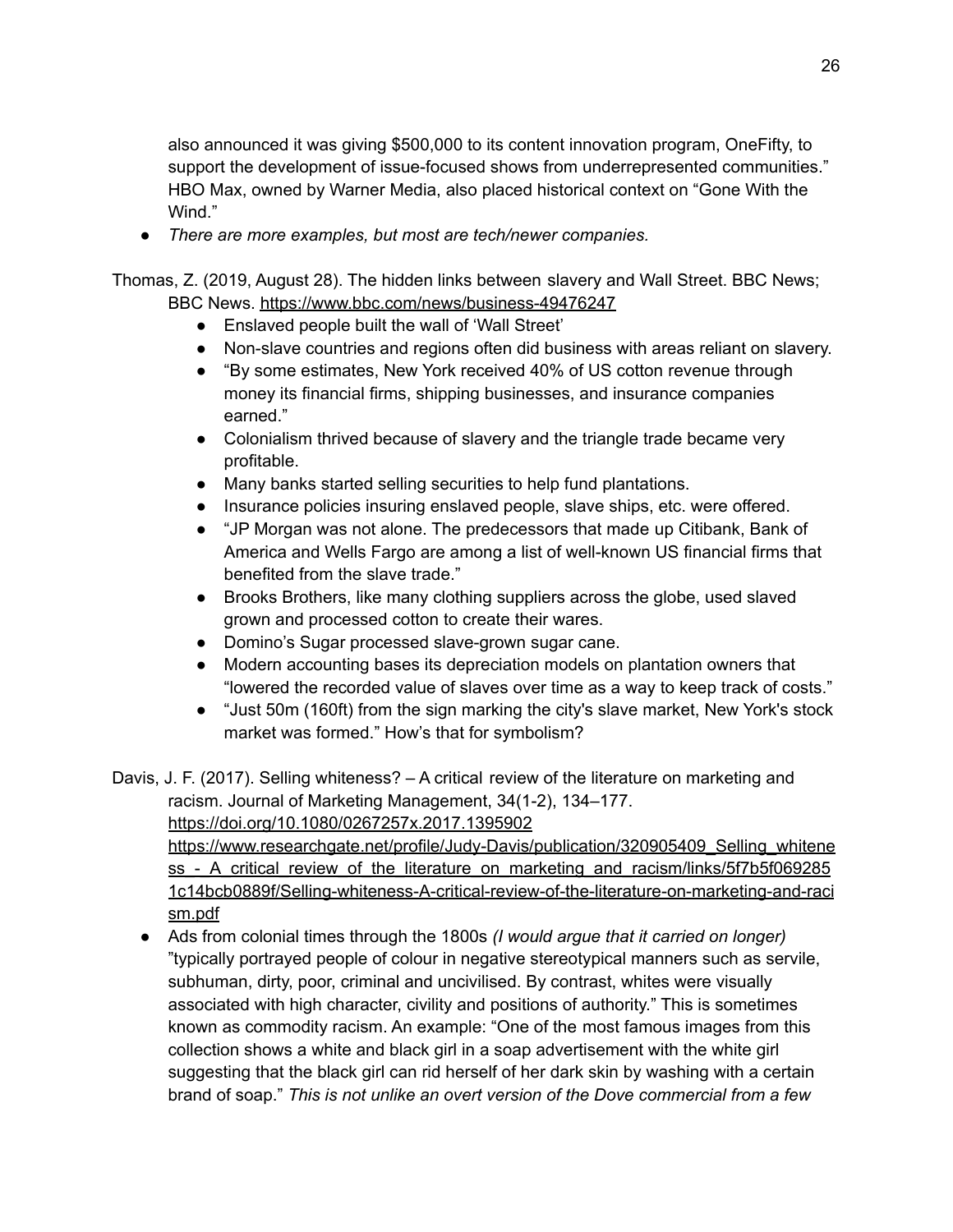also announced it was giving \$500,000 to its content innovation program, OneFifty, to support the development of issue-focused shows from underrepresented communities." HBO Max, owned by Warner Media, also placed historical context on "Gone With the Wind."

*● There are more examples, but most are tech/newer companies.*

Thomas, Z. (2019, August 28). The hidden links between slavery and Wall Street. BBC News; BBC News. <https://www.bbc.com/news/business-49476247>

- Enslaved people built the wall of 'Wall Street'
- Non-slave countries and regions often did business with areas reliant on slavery.
- "By some estimates, New York received 40% of US cotton revenue through money its financial firms, shipping businesses, and insurance companies earned."
- Colonialism thrived because of slavery and the triangle trade became very profitable.
- Many banks started selling securities to help fund plantations.
- Insurance policies insuring enslaved people, slave ships, etc. were offered.
- "JP Morgan was not alone. The predecessors that made up Citibank, Bank of America and Wells Fargo are among a list of well-known US financial firms that benefited from the slave trade."
- Brooks Brothers, like many clothing suppliers across the globe, used slaved grown and processed cotton to create their wares.
- Domino's Sugar processed slave-grown sugar cane.
- Modern accounting bases its depreciation models on plantation owners that "lowered the recorded value of slaves over time as a way to keep track of costs."
- "Just 50m (160ft) from the sign marking the city's slave market, New York's stock market was formed." How's that for symbolism?

Davis, J. F. (2017). Selling whiteness? – A critical review of the literature on marketing and racism. Journal of Marketing Management, 34(1-2), 134–177.

<https://doi.org/10.1080/0267257x.2017.1395902>

[https://www.researchgate.net/profile/Judy-Davis/publication/320905409\\_Selling\\_whitene](https://www.researchgate.net/profile/Judy-Davis/publication/320905409_Selling_whiteness_-_A_critical_review_of_the_literature_on_marketing_and_racism/links/5f7b5f0692851c14bcb0889f/Selling-whiteness-A-critical-review-of-the-literature-on-marketing-and-racism.pdf) ss - A critical review of the literature on marketing and racism/links/5f7b5f069285 [1c14bcb0889f/Selling-whiteness-A-critical-review-of-the-literature-on-marketing-and-raci](https://www.researchgate.net/profile/Judy-Davis/publication/320905409_Selling_whiteness_-_A_critical_review_of_the_literature_on_marketing_and_racism/links/5f7b5f0692851c14bcb0889f/Selling-whiteness-A-critical-review-of-the-literature-on-marketing-and-racism.pdf) [sm.pdf](https://www.researchgate.net/profile/Judy-Davis/publication/320905409_Selling_whiteness_-_A_critical_review_of_the_literature_on_marketing_and_racism/links/5f7b5f0692851c14bcb0889f/Selling-whiteness-A-critical-review-of-the-literature-on-marketing-and-racism.pdf)

● Ads from colonial times through the 1800s *(I would argue that it carried on longer)* "typically portrayed people of colour in negative stereotypical manners such as servile, subhuman, dirty, poor, criminal and uncivilised. By contrast, whites were visually associated with high character, civility and positions of authority." This is sometimes known as commodity racism. An example: "One of the most famous images from this collection shows a white and black girl in a soap advertisement with the white girl suggesting that the black girl can rid herself of her dark skin by washing with a certain brand of soap." *This is not unlike an overt version of the Dove commercial from a few*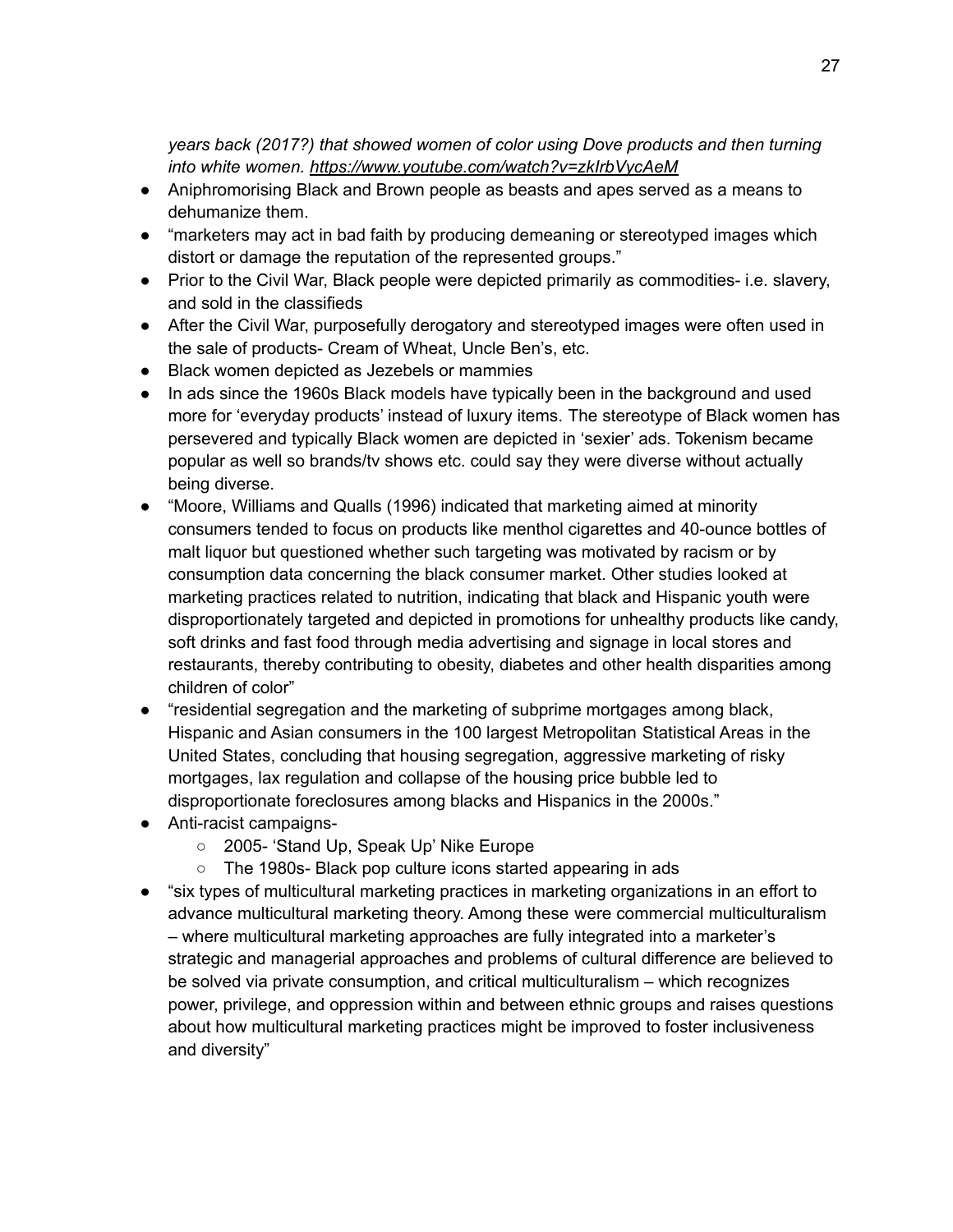*years back (2017?) that showed women of color using Dove products and then turning into white women. <https://www.youtube.com/watch?v=zkIrbVycAeM>*

- Aniphromorising Black and Brown people as beasts and apes served as a means to dehumanize them.
- "marketers may act in bad faith by producing demeaning or stereotyped images which distort or damage the reputation of the represented groups."
- Prior to the Civil War, Black people were depicted primarily as commodities- i.e. slavery, and sold in the classifieds
- After the Civil War, purposefully derogatory and stereotyped images were often used in the sale of products- Cream of Wheat, Uncle Ben's, etc.
- Black women depicted as Jezebels or mammies
- In ads since the 1960s Black models have typically been in the background and used more for 'everyday products' instead of luxury items. The stereotype of Black women has persevered and typically Black women are depicted in 'sexier' ads. Tokenism became popular as well so brands/tv shows etc. could say they were diverse without actually being diverse.
- "Moore, Williams and Qualls (1996) indicated that marketing aimed at minority consumers tended to focus on products like menthol cigarettes and 40-ounce bottles of malt liquor but questioned whether such targeting was motivated by racism or by consumption data concerning the black consumer market. Other studies looked at marketing practices related to nutrition, indicating that black and Hispanic youth were disproportionately targeted and depicted in promotions for unhealthy products like candy, soft drinks and fast food through media advertising and signage in local stores and restaurants, thereby contributing to obesity, diabetes and other health disparities among children of color"
- "residential segregation and the marketing of subprime mortgages among black, Hispanic and Asian consumers in the 100 largest Metropolitan Statistical Areas in the United States, concluding that housing segregation, aggressive marketing of risky mortgages, lax regulation and collapse of the housing price bubble led to disproportionate foreclosures among blacks and Hispanics in the 2000s."
- Anti-racist campaigns-
	- 2005- 'Stand Up, Speak Up' Nike Europe
	- The 1980s- Black pop culture icons started appearing in ads
- "six types of multicultural marketing practices in marketing organizations in an effort to advance multicultural marketing theory. Among these were commercial multiculturalism – where multicultural marketing approaches are fully integrated into a marketer's strategic and managerial approaches and problems of cultural difference are believed to be solved via private consumption, and critical multiculturalism – which recognizes power, privilege, and oppression within and between ethnic groups and raises questions about how multicultural marketing practices might be improved to foster inclusiveness and diversity"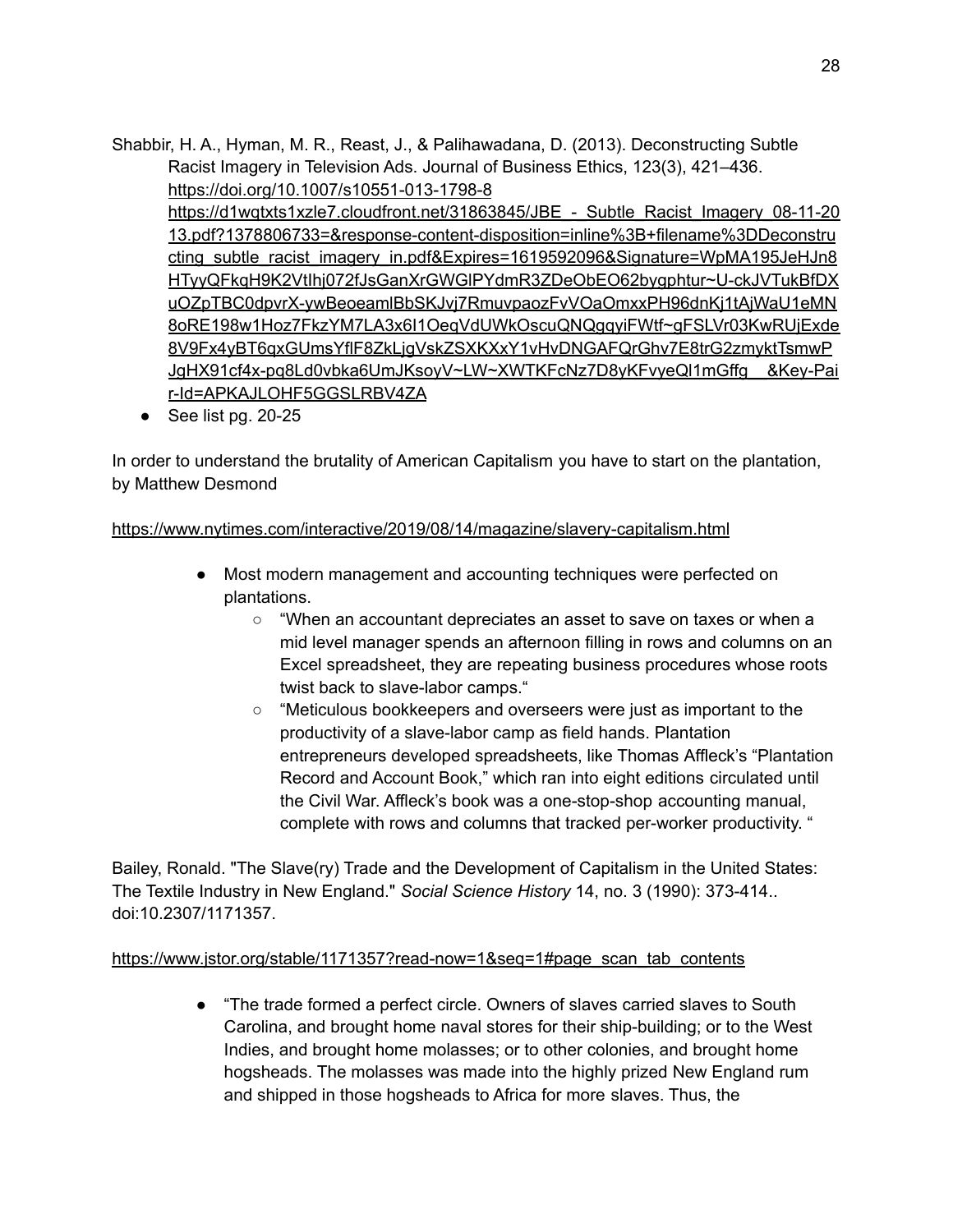Shabbir, H. A., Hyman, M. R., Reast, J., & Palihawadana, D. (2013). Deconstructing Subtle Racist Imagery in Television Ads. Journal of Business Ethics, 123(3), 421–436. <https://doi.org/10.1007/s10551-013-1798-8> https://d1wqtxts1xzle7.cloudfront.net/31863845/JBE - Subtle Racist Imagery 08-11-20 [13.pdf?1378806733=&response-content-disposition=inline%3B+filename%3DDeconstru](https://d1wqtxts1xzle7.cloudfront.net/31863845/JBE_-_Subtle_Racist_Imagery_08-11-2013.pdf?1378806733=&response-content-disposition=inline%3B+filename%3DDeconstructing_subtle_racist_imagery_in.pdf&Expires=1619592096&Signature=WpMA195JeHJn8HTyyQFkqH9K2VtIhj072fJsGanXrGWGlPYdmR3ZDeObEO62bygphtur~U-ckJVTukBfDXuOZpTBC0dpvrX-ywBeoeamlBbSKJvj7RmuvpaozFvVOaOmxxPH96dnKj1tAjWaU1eMN8oRE198w1Hoz7FkzYM7LA3x6I1OeqVdUWkOscuQNQgqyiFWtf~gFSLVr03KwRUjExde8V9Fx4yBT6qxGUmsYflF8ZkLjgVskZSXKXxY1vHvDNGAFQrGhv7E8trG2zmyktTsmwPJgHX91cf4x-pq8Ld0vbka6UmJKsoyV~LW~XWTKFcNz7D8yKFvyeQl1mGffg__&Key-Pair-Id=APKAJLOHF5GGSLRBV4ZA) [cting\\_subtle\\_racist\\_imagery\\_in.pdf&Expires=1619592096&Signature=WpMA195JeHJn8](https://d1wqtxts1xzle7.cloudfront.net/31863845/JBE_-_Subtle_Racist_Imagery_08-11-2013.pdf?1378806733=&response-content-disposition=inline%3B+filename%3DDeconstructing_subtle_racist_imagery_in.pdf&Expires=1619592096&Signature=WpMA195JeHJn8HTyyQFkqH9K2VtIhj072fJsGanXrGWGlPYdmR3ZDeObEO62bygphtur~U-ckJVTukBfDXuOZpTBC0dpvrX-ywBeoeamlBbSKJvj7RmuvpaozFvVOaOmxxPH96dnKj1tAjWaU1eMN8oRE198w1Hoz7FkzYM7LA3x6I1OeqVdUWkOscuQNQgqyiFWtf~gFSLVr03KwRUjExde8V9Fx4yBT6qxGUmsYflF8ZkLjgVskZSXKXxY1vHvDNGAFQrGhv7E8trG2zmyktTsmwPJgHX91cf4x-pq8Ld0vbka6UmJKsoyV~LW~XWTKFcNz7D8yKFvyeQl1mGffg__&Key-Pair-Id=APKAJLOHF5GGSLRBV4ZA) [HTyyQFkqH9K2VtIhj072fJsGanXrGWGlPYdmR3ZDeObEO62bygphtur~U-ckJVTukBfDX](https://d1wqtxts1xzle7.cloudfront.net/31863845/JBE_-_Subtle_Racist_Imagery_08-11-2013.pdf?1378806733=&response-content-disposition=inline%3B+filename%3DDeconstructing_subtle_racist_imagery_in.pdf&Expires=1619592096&Signature=WpMA195JeHJn8HTyyQFkqH9K2VtIhj072fJsGanXrGWGlPYdmR3ZDeObEO62bygphtur~U-ckJVTukBfDXuOZpTBC0dpvrX-ywBeoeamlBbSKJvj7RmuvpaozFvVOaOmxxPH96dnKj1tAjWaU1eMN8oRE198w1Hoz7FkzYM7LA3x6I1OeqVdUWkOscuQNQgqyiFWtf~gFSLVr03KwRUjExde8V9Fx4yBT6qxGUmsYflF8ZkLjgVskZSXKXxY1vHvDNGAFQrGhv7E8trG2zmyktTsmwPJgHX91cf4x-pq8Ld0vbka6UmJKsoyV~LW~XWTKFcNz7D8yKFvyeQl1mGffg__&Key-Pair-Id=APKAJLOHF5GGSLRBV4ZA) [uOZpTBC0dpvrX-ywBeoeamlBbSKJvj7RmuvpaozFvVOaOmxxPH96dnKj1tAjWaU1eMN](https://d1wqtxts1xzle7.cloudfront.net/31863845/JBE_-_Subtle_Racist_Imagery_08-11-2013.pdf?1378806733=&response-content-disposition=inline%3B+filename%3DDeconstructing_subtle_racist_imagery_in.pdf&Expires=1619592096&Signature=WpMA195JeHJn8HTyyQFkqH9K2VtIhj072fJsGanXrGWGlPYdmR3ZDeObEO62bygphtur~U-ckJVTukBfDXuOZpTBC0dpvrX-ywBeoeamlBbSKJvj7RmuvpaozFvVOaOmxxPH96dnKj1tAjWaU1eMN8oRE198w1Hoz7FkzYM7LA3x6I1OeqVdUWkOscuQNQgqyiFWtf~gFSLVr03KwRUjExde8V9Fx4yBT6qxGUmsYflF8ZkLjgVskZSXKXxY1vHvDNGAFQrGhv7E8trG2zmyktTsmwPJgHX91cf4x-pq8Ld0vbka6UmJKsoyV~LW~XWTKFcNz7D8yKFvyeQl1mGffg__&Key-Pair-Id=APKAJLOHF5GGSLRBV4ZA) [8oRE198w1Hoz7FkzYM7LA3x6I1OeqVdUWkOscuQNQgqyiFWtf~gFSLVr03KwRUjExde](https://d1wqtxts1xzle7.cloudfront.net/31863845/JBE_-_Subtle_Racist_Imagery_08-11-2013.pdf?1378806733=&response-content-disposition=inline%3B+filename%3DDeconstructing_subtle_racist_imagery_in.pdf&Expires=1619592096&Signature=WpMA195JeHJn8HTyyQFkqH9K2VtIhj072fJsGanXrGWGlPYdmR3ZDeObEO62bygphtur~U-ckJVTukBfDXuOZpTBC0dpvrX-ywBeoeamlBbSKJvj7RmuvpaozFvVOaOmxxPH96dnKj1tAjWaU1eMN8oRE198w1Hoz7FkzYM7LA3x6I1OeqVdUWkOscuQNQgqyiFWtf~gFSLVr03KwRUjExde8V9Fx4yBT6qxGUmsYflF8ZkLjgVskZSXKXxY1vHvDNGAFQrGhv7E8trG2zmyktTsmwPJgHX91cf4x-pq8Ld0vbka6UmJKsoyV~LW~XWTKFcNz7D8yKFvyeQl1mGffg__&Key-Pair-Id=APKAJLOHF5GGSLRBV4ZA) [8V9Fx4yBT6qxGUmsYflF8ZkLjgVskZSXKXxY1vHvDNGAFQrGhv7E8trG2zmyktTsmwP](https://d1wqtxts1xzle7.cloudfront.net/31863845/JBE_-_Subtle_Racist_Imagery_08-11-2013.pdf?1378806733=&response-content-disposition=inline%3B+filename%3DDeconstructing_subtle_racist_imagery_in.pdf&Expires=1619592096&Signature=WpMA195JeHJn8HTyyQFkqH9K2VtIhj072fJsGanXrGWGlPYdmR3ZDeObEO62bygphtur~U-ckJVTukBfDXuOZpTBC0dpvrX-ywBeoeamlBbSKJvj7RmuvpaozFvVOaOmxxPH96dnKj1tAjWaU1eMN8oRE198w1Hoz7FkzYM7LA3x6I1OeqVdUWkOscuQNQgqyiFWtf~gFSLVr03KwRUjExde8V9Fx4yBT6qxGUmsYflF8ZkLjgVskZSXKXxY1vHvDNGAFQrGhv7E8trG2zmyktTsmwPJgHX91cf4x-pq8Ld0vbka6UmJKsoyV~LW~XWTKFcNz7D8yKFvyeQl1mGffg__&Key-Pair-Id=APKAJLOHF5GGSLRBV4ZA) [JgHX91cf4x-pq8Ld0vbka6UmJKsoyV~LW~XWTKFcNz7D8yKFvyeQl1mGffg\\_\\_&Key-Pai](https://d1wqtxts1xzle7.cloudfront.net/31863845/JBE_-_Subtle_Racist_Imagery_08-11-2013.pdf?1378806733=&response-content-disposition=inline%3B+filename%3DDeconstructing_subtle_racist_imagery_in.pdf&Expires=1619592096&Signature=WpMA195JeHJn8HTyyQFkqH9K2VtIhj072fJsGanXrGWGlPYdmR3ZDeObEO62bygphtur~U-ckJVTukBfDXuOZpTBC0dpvrX-ywBeoeamlBbSKJvj7RmuvpaozFvVOaOmxxPH96dnKj1tAjWaU1eMN8oRE198w1Hoz7FkzYM7LA3x6I1OeqVdUWkOscuQNQgqyiFWtf~gFSLVr03KwRUjExde8V9Fx4yBT6qxGUmsYflF8ZkLjgVskZSXKXxY1vHvDNGAFQrGhv7E8trG2zmyktTsmwPJgHX91cf4x-pq8Ld0vbka6UmJKsoyV~LW~XWTKFcNz7D8yKFvyeQl1mGffg__&Key-Pair-Id=APKAJLOHF5GGSLRBV4ZA) [r-Id=APKAJLOHF5GGSLRBV4ZA](https://d1wqtxts1xzle7.cloudfront.net/31863845/JBE_-_Subtle_Racist_Imagery_08-11-2013.pdf?1378806733=&response-content-disposition=inline%3B+filename%3DDeconstructing_subtle_racist_imagery_in.pdf&Expires=1619592096&Signature=WpMA195JeHJn8HTyyQFkqH9K2VtIhj072fJsGanXrGWGlPYdmR3ZDeObEO62bygphtur~U-ckJVTukBfDXuOZpTBC0dpvrX-ywBeoeamlBbSKJvj7RmuvpaozFvVOaOmxxPH96dnKj1tAjWaU1eMN8oRE198w1Hoz7FkzYM7LA3x6I1OeqVdUWkOscuQNQgqyiFWtf~gFSLVr03KwRUjExde8V9Fx4yBT6qxGUmsYflF8ZkLjgVskZSXKXxY1vHvDNGAFQrGhv7E8trG2zmyktTsmwPJgHX91cf4x-pq8Ld0vbka6UmJKsoyV~LW~XWTKFcNz7D8yKFvyeQl1mGffg__&Key-Pair-Id=APKAJLOHF5GGSLRBV4ZA)

 $\bullet$  See list pg. 20-25

In order to understand the brutality of American Capitalism you have to start on the plantation, by Matthew Desmond

<https://www.nytimes.com/interactive/2019/08/14/magazine/slavery-capitalism.html>

- Most modern management and accounting techniques were perfected on plantations.
	- "When an accountant depreciates an asset to save on taxes or when a mid level manager spends an afternoon filling in rows and columns on an Excel spreadsheet, they are repeating business procedures whose roots twist back to slave-labor camps."
	- "Meticulous bookkeepers and overseers were just as important to the productivity of a slave-labor camp as field hands. Plantation entrepreneurs developed spreadsheets, like Thomas Affleck's "Plantation Record and Account Book," which ran into eight editions circulated until the Civil War. Affleck's book was a one-stop-shop accounting manual, complete with rows and columns that tracked per-worker productivity. "

Bailey, Ronald. "The Slave(ry) Trade and the Development of Capitalism in the United States: The Textile Industry in New England." *Social Science History* 14, no. 3 (1990): 373-414.. doi:10.2307/1171357.

#### [https://www.jstor.org/stable/1171357?read-now=1&seq=1#page\\_scan\\_tab\\_contents](https://www.jstor.org/stable/1171357?read-now=1&seq=1#page_scan_tab_contents)

● "The trade formed a perfect circle. Owners of slaves carried slaves to South Carolina, and brought home naval stores for their ship-building; or to the West Indies, and brought home molasses; or to other colonies, and brought home hogsheads. The molasses was made into the highly prized New England rum and shipped in those hogsheads to Africa for more slaves. Thus, the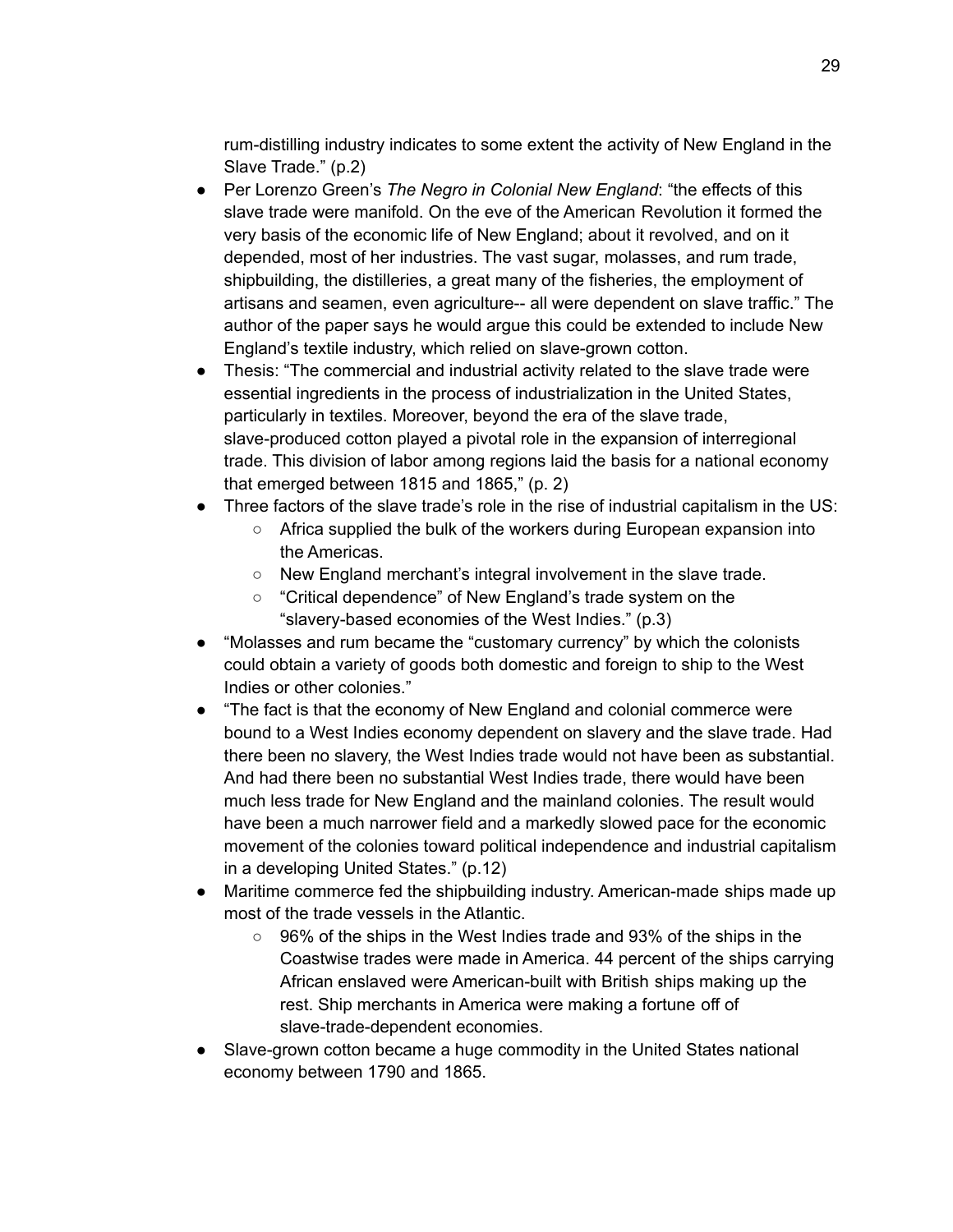rum-distilling industry indicates to some extent the activity of New England in the Slave Trade." (p.2)

- Per Lorenzo Green's *The Negro in Colonial New England*: "the effects of this slave trade were manifold. On the eve of the American Revolution it formed the very basis of the economic life of New England; about it revolved, and on it depended, most of her industries. The vast sugar, molasses, and rum trade, shipbuilding, the distilleries, a great many of the fisheries, the employment of artisans and seamen, even agriculture-- all were dependent on slave traffic." The author of the paper says he would argue this could be extended to include New England's textile industry, which relied on slave-grown cotton.
- Thesis: "The commercial and industrial activity related to the slave trade were essential ingredients in the process of industrialization in the United States, particularly in textiles. Moreover, beyond the era of the slave trade, slave-produced cotton played a pivotal role in the expansion of interregional trade. This division of labor among regions laid the basis for a national economy that emerged between 1815 and 1865," (p. 2)
- Three factors of the slave trade's role in the rise of industrial capitalism in the US:
	- Africa supplied the bulk of the workers during European expansion into the Americas.
	- New England merchant's integral involvement in the slave trade.
	- "Critical dependence" of New England's trade system on the "slavery-based economies of the West Indies." (p.3)
- "Molasses and rum became the "customary currency" by which the colonists could obtain a variety of goods both domestic and foreign to ship to the West Indies or other colonies."
- "The fact is that the economy of New England and colonial commerce were bound to a West Indies economy dependent on slavery and the slave trade. Had there been no slavery, the West Indies trade would not have been as substantial. And had there been no substantial West Indies trade, there would have been much less trade for New England and the mainland colonies. The result would have been a much narrower field and a markedly slowed pace for the economic movement of the colonies toward political independence and industrial capitalism in a developing United States." (p.12)
- Maritime commerce fed the shipbuilding industry. American-made ships made up most of the trade vessels in the Atlantic.
	- 96% of the ships in the West Indies trade and 93% of the ships in the Coastwise trades were made in America. 44 percent of the ships carrying African enslaved were American-built with British ships making up the rest. Ship merchants in America were making a fortune off of slave-trade-dependent economies.
- Slave-grown cotton became a huge commodity in the United States national economy between 1790 and 1865.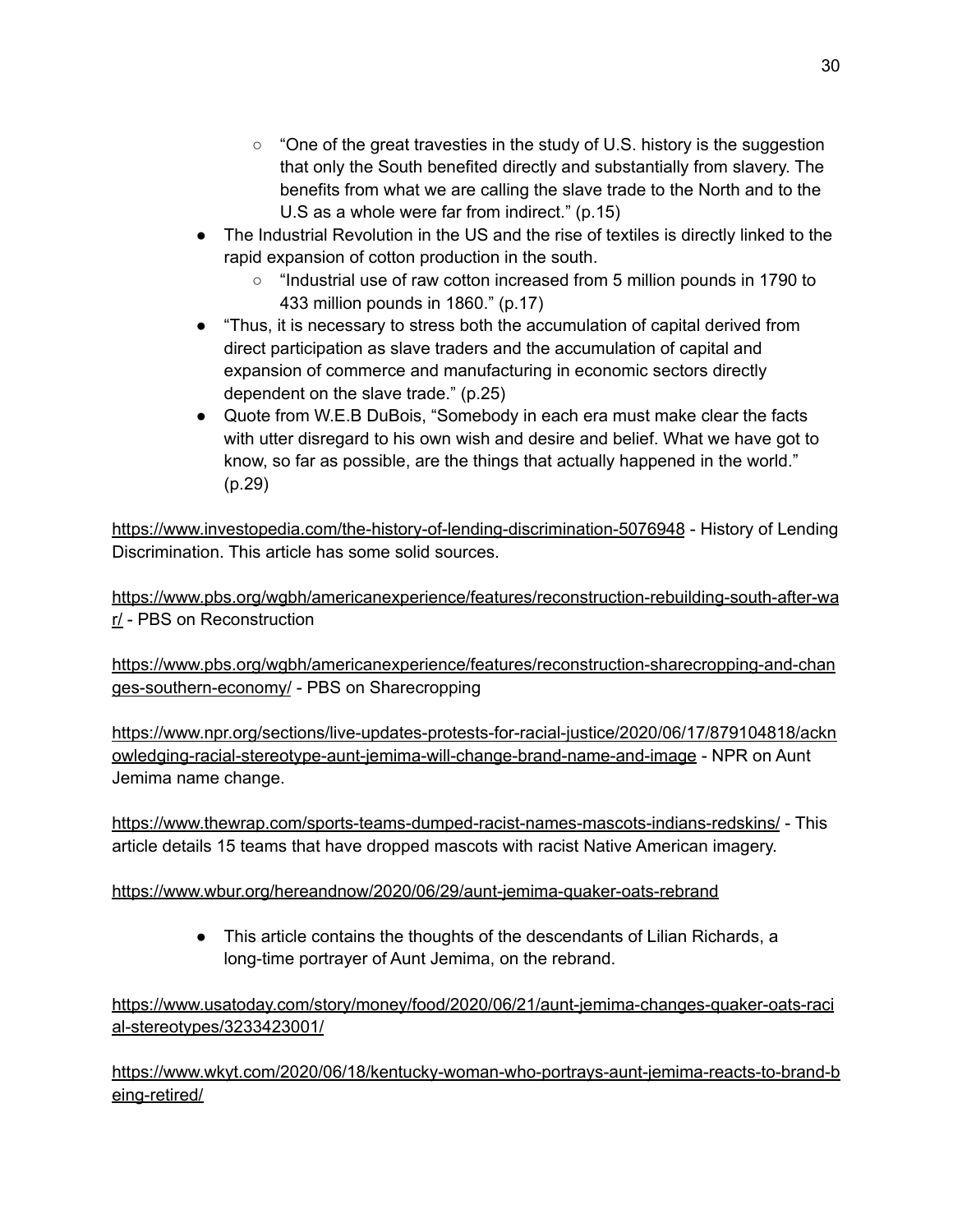- "One of the great travesties in the study of U.S. history is the suggestion that only the South benefited directly and substantially from slavery. The benefits from what we are calling the slave trade to the North and to the U.S as a whole were far from indirect." (p.15)
- The Industrial Revolution in the US and the rise of textiles is directly linked to the rapid expansion of cotton production in the south.
	- "Industrial use of raw cotton increased from 5 million pounds in 1790 to 433 million pounds in 1860." (p.17)
- "Thus, it is necessary to stress both the accumulation of capital derived from direct participation as slave traders and the accumulation of capital and expansion of commerce and manufacturing in economic sectors directly dependent on the slave trade." (p.25)
- Quote from W.E.B DuBois, "Somebody in each era must make clear the facts with utter disregard to his own wish and desire and belief. What we have got to know, so far as possible, are the things that actually happened in the world." (p.29)

<https://www.investopedia.com/the-history-of-lending-discrimination-5076948> - History of Lending Discrimination. This article has some solid sources.

[https://www.pbs.org/wgbh/americanexperience/features/reconstruction-rebuilding-south-after-wa](https://www.pbs.org/wgbh/americanexperience/features/reconstruction-rebuilding-south-after-war/) [r/](https://www.pbs.org/wgbh/americanexperience/features/reconstruction-rebuilding-south-after-war/) - PBS on Reconstruction

[https://www.pbs.org/wgbh/americanexperience/features/reconstruction-sharecropping-and-chan](https://www.pbs.org/wgbh/americanexperience/features/reconstruction-sharecropping-and-changes-southern-economy/) [ges-southern-economy/](https://www.pbs.org/wgbh/americanexperience/features/reconstruction-sharecropping-and-changes-southern-economy/) - PBS on Sharecropping

[https://www.npr.org/sections/live-updates-protests-for-racial-justice/2020/06/17/879104818/ackn](https://www.npr.org/sections/live-updates-protests-for-racial-justice/2020/06/17/879104818/acknowledging-racial-stereotype-aunt-jemima-will-change-brand-name-and-image) [owledging-racial-stereotype-aunt-jemima-will-change-brand-name-and-image](https://www.npr.org/sections/live-updates-protests-for-racial-justice/2020/06/17/879104818/acknowledging-racial-stereotype-aunt-jemima-will-change-brand-name-and-image) - NPR on Aunt Jemima name change.

<https://www.thewrap.com/sports-teams-dumped-racist-names-mascots-indians-redskins/> - This article details 15 teams that have dropped mascots with racist Native American imagery.

#### <https://www.wbur.org/hereandnow/2020/06/29/aunt-jemima-quaker-oats-rebrand>

• This article contains the thoughts of the descendants of Lilian Richards, a long-time portrayer of Aunt Jemima, on the rebrand.

[https://www.usatoday.com/story/money/food/2020/06/21/aunt-jemima-changes-quaker-oats-raci](https://www.usatoday.com/story/money/food/2020/06/21/aunt-jemima-changes-quaker-oats-racial-stereotypes/3233423001/) [al-stereotypes/3233423001/](https://www.usatoday.com/story/money/food/2020/06/21/aunt-jemima-changes-quaker-oats-racial-stereotypes/3233423001/)

[https://www.wkyt.com/2020/06/18/kentucky-woman-who-portrays-aunt-jemima-reacts-to-brand-b](https://www.wkyt.com/2020/06/18/kentucky-woman-who-portrays-aunt-jemima-reacts-to-brand-being-retired/) [eing-retired/](https://www.wkyt.com/2020/06/18/kentucky-woman-who-portrays-aunt-jemima-reacts-to-brand-being-retired/)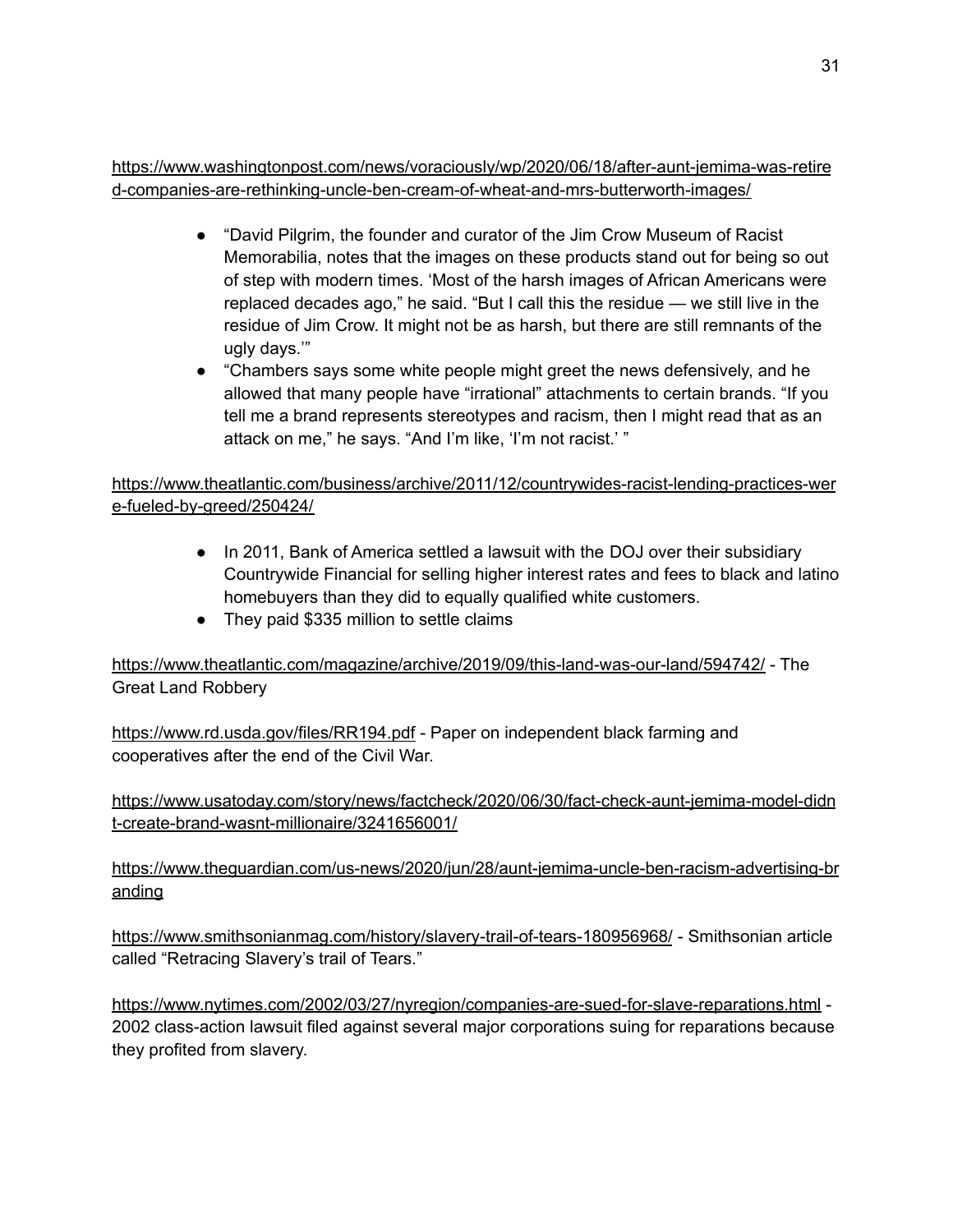[https://www.washingtonpost.com/news/voraciously/wp/2020/06/18/after-aunt-jemima-was-retire](https://www.washingtonpost.com/news/voraciously/wp/2020/06/18/after-aunt-jemima-was-retired-companies-are-rethinking-uncle-ben-cream-of-wheat-and-mrs-butterworth-images/) [d-companies-are-rethinking-uncle-ben-cream-of-wheat-and-mrs-butterworth-images/](https://www.washingtonpost.com/news/voraciously/wp/2020/06/18/after-aunt-jemima-was-retired-companies-are-rethinking-uncle-ben-cream-of-wheat-and-mrs-butterworth-images/)

- "David Pilgrim, the founder and curator of the Jim Crow [Museum](https://www.ferris.edu/jimcrow/) of Racist [Memorabilia,](https://www.ferris.edu/jimcrow/) notes that the images on these products stand out for being so out of step with modern times. 'Most of the harsh images of African Americans were replaced decades ago," he said. "But I call this the residue — we still live in the residue of Jim Crow. It might not be as harsh, but there are still remnants of the ugly days.'"
- "Chambers says some white people might greet the news defensively, and he allowed that many people have "irrational" attachments to certain brands. "If you tell me a brand represents stereotypes and racism, then I might read that as an attack on me," he says. "And I'm like, 'I'm not racist.' "

[https://www.theatlantic.com/business/archive/2011/12/countrywides-racist-lending-practices-wer](https://www.theatlantic.com/business/archive/2011/12/countrywides-racist-lending-practices-were-fueled-by-greed/250424/) [e-fueled-by-greed/250424/](https://www.theatlantic.com/business/archive/2011/12/countrywides-racist-lending-practices-were-fueled-by-greed/250424/)

- In 2011, Bank of America settled a lawsuit with the DOJ over their subsidiary Countrywide Financial for selling higher interest rates and fees to black and latino homebuyers than they did to equally qualified white customers.
- They paid \$335 million to settle claims

<https://www.theatlantic.com/magazine/archive/2019/09/this-land-was-our-land/594742/> - The Great Land Robbery

<https://www.rd.usda.gov/files/RR194.pdf> - Paper on independent black farming and cooperatives after the end of the Civil War.

[https://www.usatoday.com/story/news/factcheck/2020/06/30/fact-check-aunt-jemima-model-didn](https://www.usatoday.com/story/news/factcheck/2020/06/30/fact-check-aunt-jemima-model-didnt-create-brand-wasnt-millionaire/3241656001/) [t-create-brand-wasnt-millionaire/3241656001/](https://www.usatoday.com/story/news/factcheck/2020/06/30/fact-check-aunt-jemima-model-didnt-create-brand-wasnt-millionaire/3241656001/)

[https://www.theguardian.com/us-news/2020/jun/28/aunt-jemima-uncle-ben-racism-advertising-br](https://www.theguardian.com/us-news/2020/jun/28/aunt-jemima-uncle-ben-racism-advertising-branding) [anding](https://www.theguardian.com/us-news/2020/jun/28/aunt-jemima-uncle-ben-racism-advertising-branding)

<https://www.smithsonianmag.com/history/slavery-trail-of-tears-180956968/> - Smithsonian article called "Retracing Slavery's trail of Tears."

<https://www.nytimes.com/2002/03/27/nyregion/companies-are-sued-for-slave-reparations.html> - 2002 class-action lawsuit filed against several major corporations suing for reparations because they profited from slavery.